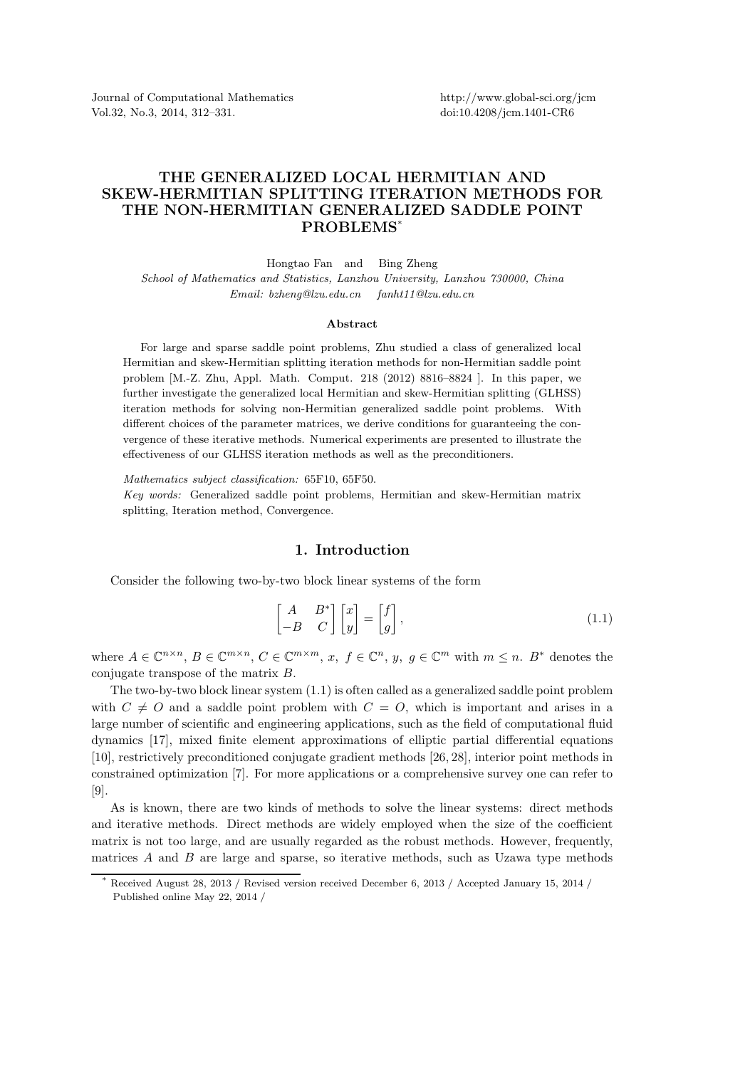Journal of Computational Mathematics Vol.32, No.3, 2014, 312–331.

# THE GENERALIZED LOCAL HERMITIAN AND SKEW-HERMITIAN SPLITTING ITERATION METHODS FOR THE NON-HERMITIAN GENERALIZED SADDLE POINT PROBLEMS\*

Hongtao Fan and Bing Zheng

*School of Mathematics and Statistics, Lanzhou University, Lanzhou 730000, China Email: bzheng@lzu.edu.cn fanht11@lzu.edu.cn*

#### Abstract

For large and sparse saddle point problems, Zhu studied a class of generalized local Hermitian and skew-Hermitian splitting iteration methods for non-Hermitian saddle point problem [M.-Z. Zhu, Appl. Math. Comput. 218 (2012) 8816–8824 ]. In this paper, we further investigate the generalized local Hermitian and skew-Hermitian splitting (GLHSS) iteration methods for solving non-Hermitian generalized saddle point problems. With different choices of the parameter matrices, we derive conditions for guaranteeing the convergence of these iterative methods. Numerical experiments are presented to illustrate the effectiveness of our GLHSS iteration methods as well as the preconditioners.

*Mathematics subject classification:* 65F10, 65F50.

*Key words:* Generalized saddle point problems, Hermitian and skew-Hermitian matrix splitting, Iteration method, Convergence.

#### 1. Introduction

Consider the following two-by-two block linear systems of the form

$$
\begin{bmatrix} A & B^* \\ -B & C \end{bmatrix} \begin{bmatrix} x \\ y \end{bmatrix} = \begin{bmatrix} f \\ g \end{bmatrix},
$$
\n(1.1)

where  $A \in \mathbb{C}^{n \times n}$ ,  $B \in \mathbb{C}^{m \times n}$ ,  $C \in \mathbb{C}^{m \times m}$ ,  $x, f \in \mathbb{C}^n$ ,  $y, g \in \mathbb{C}^m$  with  $m \leq n$ .  $B^*$  denotes the conjugate transpose of the matrix B.

The two-by-two block linear system (1.1) is often called as a generalized saddle point problem with  $C \neq O$  and a saddle point problem with  $C = O$ , which is important and arises in a large number of scientific and engineering applications, such as the field of computational fluid dynamics [17], mixed finite element approximations of elliptic partial differential equations [10], restrictively preconditioned conjugate gradient methods [26, 28], interior point methods in constrained optimization [7]. For more applications or a comprehensive survey one can refer to [9].

As is known, there are two kinds of methods to solve the linear systems: direct methods and iterative methods. Direct methods are widely employed when the size of the coefficient matrix is not too large, and are usually regarded as the robust methods. However, frequently, matrices  $A$  and  $B$  are large and sparse, so iterative methods, such as Uzawa type methods

Received August 28, 2013 / Revised version received December 6, 2013 / Accepted January 15, 2014 / Published online May 22, 2014 /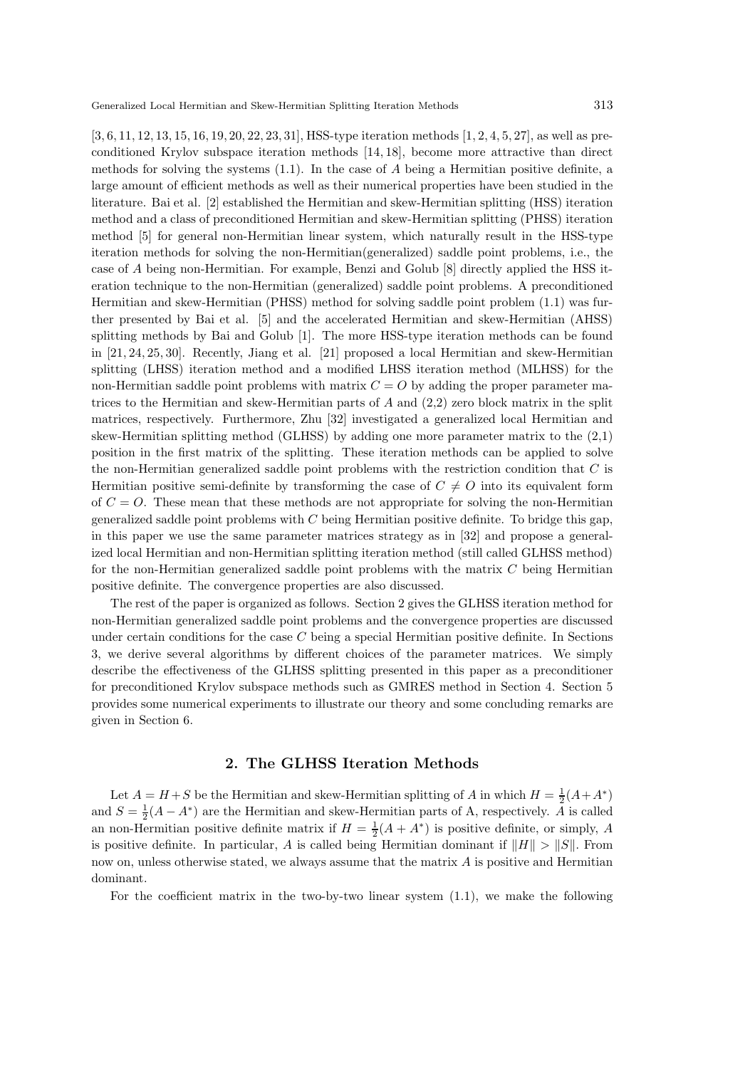[3, 6, 11, 12, 13, 15, 16, 19, 20, 22, 23, 31], HSS-type iteration methods [1, 2, 4, 5, 27], as well as preconditioned Krylov subspace iteration methods [14, 18], become more attractive than direct methods for solving the systems  $(1.1)$ . In the case of A being a Hermitian positive definite, a large amount of efficient methods as well as their numerical properties have been studied in the literature. Bai et al. [2] established the Hermitian and skew-Hermitian splitting (HSS) iteration method and a class of preconditioned Hermitian and skew-Hermitian splitting (PHSS) iteration method [5] for general non-Hermitian linear system, which naturally result in the HSS-type iteration methods for solving the non-Hermitian(generalized) saddle point problems, i.e., the case of A being non-Hermitian. For example, Benzi and Golub [8] directly applied the HSS iteration technique to the non-Hermitian (generalized) saddle point problems. A preconditioned Hermitian and skew-Hermitian (PHSS) method for solving saddle point problem (1.1) was further presented by Bai et al. [5] and the accelerated Hermitian and skew-Hermitian (AHSS) splitting methods by Bai and Golub [1]. The more HSS-type iteration methods can be found in [21, 24, 25, 30]. Recently, Jiang et al. [21] proposed a local Hermitian and skew-Hermitian splitting (LHSS) iteration method and a modified LHSS iteration method (MLHSS) for the non-Hermitian saddle point problems with matrix  $C = O$  by adding the proper parameter matrices to the Hermitian and skew-Hermitian parts of  $A$  and  $(2,2)$  zero block matrix in the split matrices, respectively. Furthermore, Zhu [32] investigated a generalized local Hermitian and skew-Hermitian splitting method (GLHSS) by adding one more parameter matrix to the (2,1) position in the first matrix of the splitting. These iteration methods can be applied to solve the non-Hermitian generalized saddle point problems with the restriction condition that  $C$  is Hermitian positive semi-definite by transforming the case of  $C \neq O$  into its equivalent form of  $C = O$ . These mean that these methods are not appropriate for solving the non-Hermitian generalized saddle point problems with  $C$  being Hermitian positive definite. To bridge this gap, in this paper we use the same parameter matrices strategy as in [32] and propose a generalized local Hermitian and non-Hermitian splitting iteration method (still called GLHSS method) for the non-Hermitian generalized saddle point problems with the matrix C being Hermitian positive definite. The convergence properties are also discussed.

The rest of the paper is organized as follows. Section 2 gives the GLHSS iteration method for non-Hermitian generalized saddle point problems and the convergence properties are discussed under certain conditions for the case C being a special Hermitian positive definite. In Sections 3, we derive several algorithms by different choices of the parameter matrices. We simply describe the effectiveness of the GLHSS splitting presented in this paper as a preconditioner for preconditioned Krylov subspace methods such as GMRES method in Section 4. Section 5 provides some numerical experiments to illustrate our theory and some concluding remarks are given in Section 6.

## 2. The GLHSS Iteration Methods

Let  $A = H + S$  be the Hermitian and skew-Hermitian splitting of A in which  $H = \frac{1}{2}(A + A^*)$ and  $S = \frac{1}{2}(A - A^*)$  are the Hermitian and skew-Hermitian parts of A, respectively.  $\tilde{A}$  is called an non-Hermitian positive definite matrix if  $H = \frac{1}{2}(A + A^*)$  is positive definite, or simply, A is positive definite. In particular, A is called being Hermitian dominant if  $||H|| > ||S||$ . From now on, unless otherwise stated, we always assume that the matrix  $A$  is positive and Hermitian dominant.

For the coefficient matrix in the two-by-two linear system (1.1), we make the following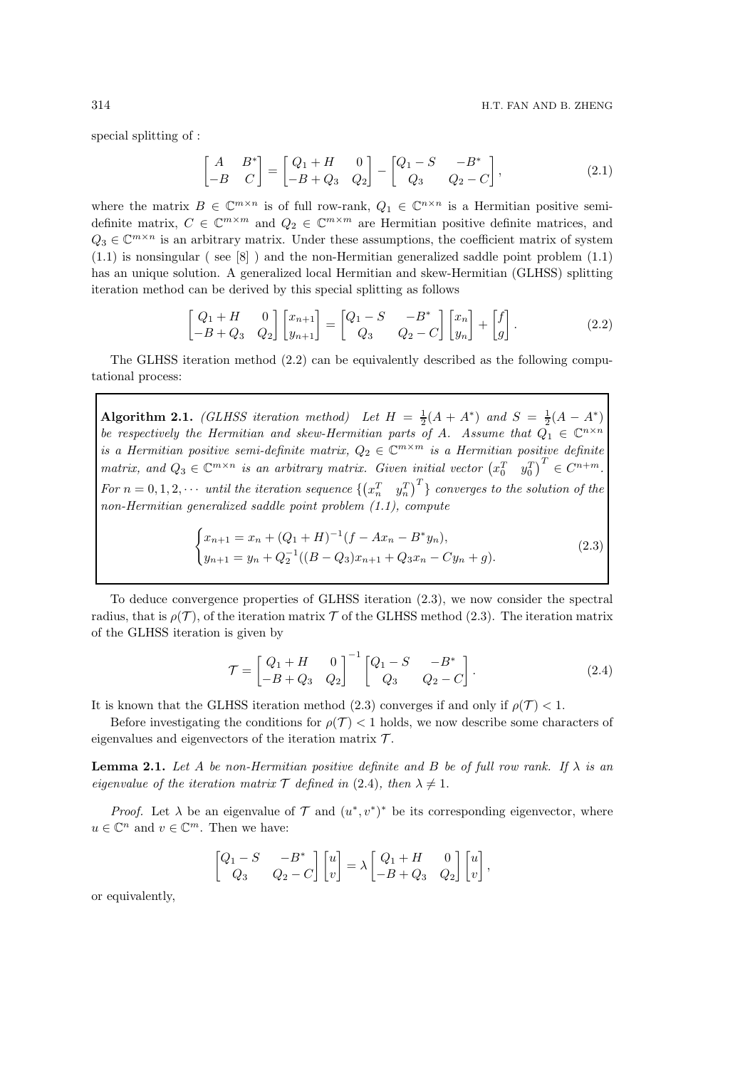special splitting of :

$$
\begin{bmatrix} A & B^* \ -B & C \end{bmatrix} = \begin{bmatrix} Q_1 + H & 0 \\ -B + Q_3 & Q_2 \end{bmatrix} - \begin{bmatrix} Q_1 - S & -B^* \\ Q_3 & Q_2 - C \end{bmatrix},
$$
\n(2.1)

where the matrix  $B \in \mathbb{C}^{m \times n}$  is of full row-rank,  $Q_1 \in \mathbb{C}^{n \times n}$  is a Hermitian positive semidefinite matrix,  $C \in \mathbb{C}^{m \times m}$  and  $Q_2 \in \mathbb{C}^{m \times m}$  are Hermitian positive definite matrices, and  $Q_3 \in \mathbb{C}^{m \times n}$  is an arbitrary matrix. Under these assumptions, the coefficient matrix of system  $(1.1)$  is nonsingular (see [8]) and the non-Hermitian generalized saddle point problem  $(1.1)$ has an unique solution. A generalized local Hermitian and skew-Hermitian (GLHSS) splitting iteration method can be derived by this special splitting as follows

$$
\begin{bmatrix} Q_1 + H & 0 \ -B + Q_3 & Q_2 \end{bmatrix} \begin{bmatrix} x_{n+1} \ y_{n+1} \end{bmatrix} = \begin{bmatrix} Q_1 - S & -B^* \ Q_3 & Q_2 - C \end{bmatrix} \begin{bmatrix} x_n \ y_n \end{bmatrix} + \begin{bmatrix} f \ g \end{bmatrix}.
$$
 (2.2)

The GLHSS iteration method (2.2) can be equivalently described as the following computational process:

Algorithm 2.1. *(GLHSS iteration method)* Let  $H = \frac{1}{2}(A + A^*)$  and  $S = \frac{1}{2}(A - A^*)$ *be respectively the Hermitian and skew-Hermitian parts of A. Assume that*  $Q_1 \in \mathbb{C}^{n \times n}$ *is a Hermitian positive semi-definite matrix,*  $Q_2 \in \mathbb{C}^{m \times m}$  *is a Hermitian positive definite matrix, and*  $Q_3 \in \mathbb{C}^{m \times n}$  *is an arbitrary matrix. Given initial vector*  $(x_0^T \ y_0^T)^T \in C^{n+m}$ *.* For  $n = 0, 1, 2, \cdots$  *until the iteration sequence*  $\left\{ \begin{pmatrix} x_n^T & y_n^T \end{pmatrix}^T \right\}$  *converges to the solution of the non-Hermitian generalized saddle point problem (1.1), compute*

$$
\begin{cases}\nx_{n+1} = x_n + (Q_1 + H)^{-1}(f - Ax_n - B^*y_n), \\
y_{n+1} = y_n + Q_2^{-1}((B - Q_3)x_{n+1} + Q_3x_n - Cy_n + g).\n\end{cases}
$$
\n(2.3)

To deduce convergence properties of GLHSS iteration (2.3), we now consider the spectral radius, that is  $\rho(\mathcal{T})$ , of the iteration matrix  $\mathcal{T}$  of the GLHSS method (2.3). The iteration matrix of the GLHSS iteration is given by

$$
\mathcal{T} = \begin{bmatrix} Q_1 + H & 0 \\ -B + Q_3 & Q_2 \end{bmatrix}^{-1} \begin{bmatrix} Q_1 - S & -B^* \\ Q_3 & Q_2 - C \end{bmatrix} . \tag{2.4}
$$

It is known that the GLHSS iteration method (2.3) converges if and only if  $\rho(\mathcal{T}) < 1$ .

Before investigating the conditions for  $\rho(\mathcal{T}) < 1$  holds, we now describe some characters of eigenvalues and eigenvectors of the iteration matrix  $\mathcal{T}$ .

**Lemma 2.1.** Let A be non-Hermitian positive definite and B be of full row rank. If  $\lambda$  is an *eigenvalue of the iteration matrix*  $\mathcal{T}$  *defined in* (2.4)*, then*  $\lambda \neq 1$ *.* 

*Proof.* Let  $\lambda$  be an eigenvalue of  $\mathcal{T}$  and  $(u^*, v^*)^*$  be its corresponding eigenvector, where  $u \in \mathbb{C}^n$  and  $v \in \mathbb{C}^m$ . Then we have:

$$
\begin{bmatrix} Q_1-S&-B^*\\ Q_3&Q_2-C \end{bmatrix}\begin{bmatrix} u\\ v \end{bmatrix}=\lambda\begin{bmatrix} Q_1+H&0\\ -B+Q_3&Q_2 \end{bmatrix}\begin{bmatrix} u\\ v \end{bmatrix},
$$

or equivalently,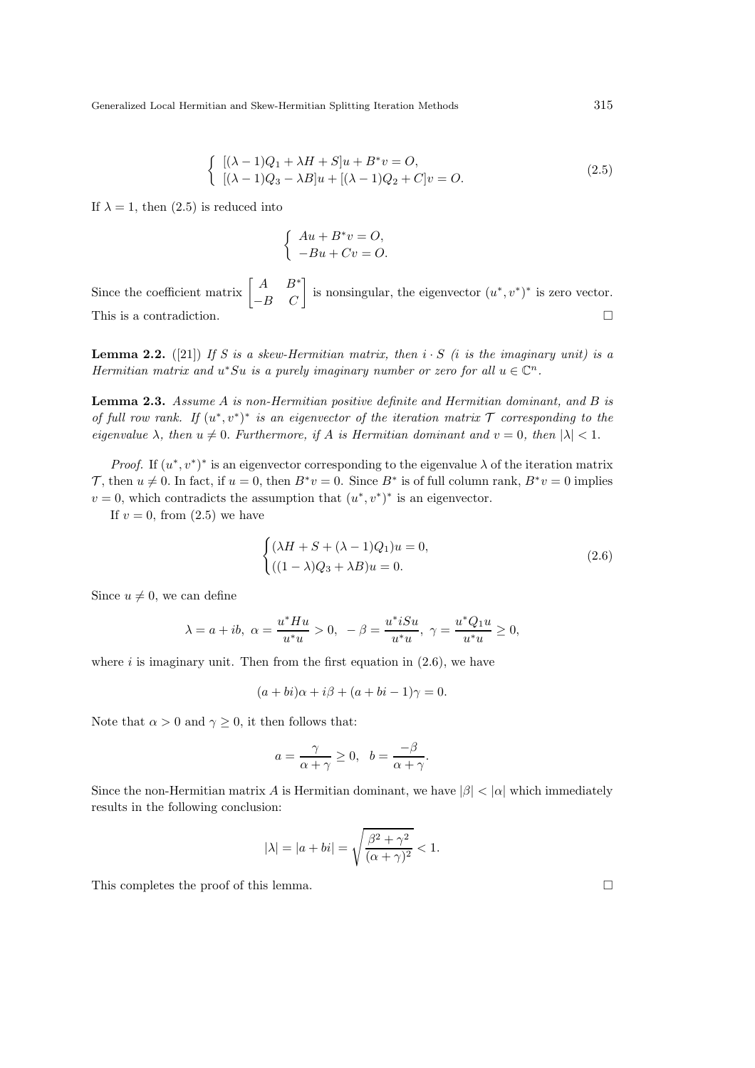$$
\begin{cases} [(\lambda - 1)Q_1 + \lambda H + S]u + B^*v = O, \\ [(\lambda - 1)Q_3 - \lambda B]u + [(\lambda - 1)Q_2 + C]v = O. \end{cases}
$$
 (2.5)

If  $\lambda = 1$ , then (2.5) is reduced into

$$
\begin{cases}\nAu + B^*v = O, \\
-Bu + Cv = O.\n\end{cases}
$$

Since the coefficient matrix  $\begin{bmatrix} A & B^* \ -B & C \end{bmatrix}$  is nonsingular, the eigenvector  $(u^*, v^*)^*$  is zero vector. This is a contradiction.

**Lemma 2.2.** ([21]) If S is a skew-Hermitian matrix, then  $i \cdot S$  (i is the imaginary unit) is a *Hermitian matrix and*  $u^*Su$  *is a purely imaginary number or zero for all*  $u \in \mathbb{C}^n$ .

Lemma 2.3. *Assume* A *is non-Hermitian positive definite and Hermitian dominant, and* B *is of full row rank.* If  $(u^*, v^*)^*$  *is an eigenvector of the iteration matrix*  $\mathcal T$  *corresponding to the eigenvalue*  $\lambda$ *, then*  $u \neq 0$ *. Furthermore, if* A *is Hermitian dominant and*  $v = 0$ *, then*  $|\lambda| < 1$ *.* 

*Proof.* If  $(u^*, v^*)^*$  is an eigenvector corresponding to the eigenvalue  $\lambda$  of the iteration matrix T, then  $u \neq 0$ . In fact, if  $u = 0$ , then  $B^*v = 0$ . Since  $B^*$  is of full column rank,  $B^*v = 0$  implies  $v = 0$ , which contradicts the assumption that  $(u^*, v^*)^*$  is an eigenvector.

If  $v = 0$ , from  $(2.5)$  we have

$$
\begin{cases} (\lambda H + S + (\lambda - 1)Q_1)u = 0, \\ ((1 - \lambda)Q_3 + \lambda B)u = 0. \end{cases}
$$
 (2.6)

Since  $u \neq 0$ , we can define

$$
\lambda=a+ib,\ \alpha=\frac{u^*Hu}{u^*u}>0,\ \ -\beta=\frac{u^*iSu}{u^*u},\ \gamma=\frac{u^*Q_1u}{u^*u}\geq 0,
$$

where  $i$  is imaginary unit. Then from the first equation in  $(2.6)$ , we have

$$
(a+bi)\alpha + i\beta + (a+bi-1)\gamma = 0.
$$

Note that  $\alpha > 0$  and  $\gamma \geq 0$ , it then follows that:

$$
a = \frac{\gamma}{\alpha + \gamma} \ge 0, \quad b = \frac{-\beta}{\alpha + \gamma}.
$$

Since the non-Hermitian matrix A is Hermitian dominant, we have  $|\beta| < |\alpha|$  which immediately results in the following conclusion:

$$
|\lambda| = |a + bi| = \sqrt{\frac{\beta^2 + \gamma^2}{(\alpha + \gamma)^2}} < 1.
$$

This completes the proof of this lemma.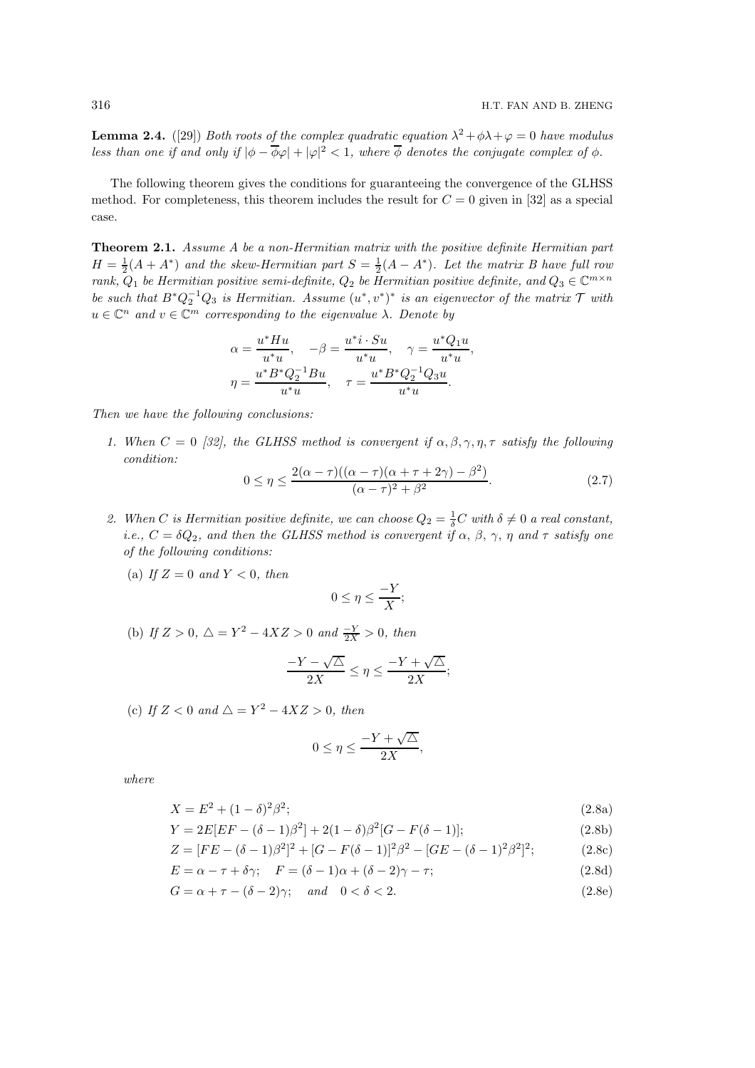**Lemma 2.4.** ([29]) *Both roots of the complex quadratic equation*  $\lambda^2 + \phi \lambda + \varphi = 0$  *have modulus less than one if and only if*  $|\phi - \overline{\phi}\varphi| + |\varphi|^2 < 1$ , where  $\overline{\phi}$  denotes the conjugate complex of  $\phi$ .

The following theorem gives the conditions for guaranteeing the convergence of the GLHSS method. For completeness, this theorem includes the result for  $C = 0$  given in [32] as a special case.

**Theorem 2.1.** Assume A be a non-Hermitian matrix with the positive definite Hermitian part  $H = \frac{1}{2}(A + A^*)$  and the skew-Hermitian part  $S = \frac{1}{2}(A - A^*)$ . Let the matrix B have full row  $rank, Q_1$  *be Hermitian positive semi-definite,*  $Q_2$  *be Hermitian positive definite, and*  $Q_3 \in \mathbb{C}^{m \times n}$ *be such that*  $B^*Q_2^{-1}Q_3$  *is Hermitian. Assume*  $(u^*, v^*)^*$  *is an eigenvector of the matrix*  $\mathcal T$  *with*  $u \in \mathbb{C}^n$  *and*  $v \in \mathbb{C}^m$  *corresponding to the eigenvalue*  $\lambda$ *. Denote by* 

$$
\alpha = \frac{u^* H u}{u^* u}, \quad -\beta = \frac{u^* i \cdot Su}{u^* u}, \quad \gamma = \frac{u^* Q_1 u}{u^* u},
$$

$$
\eta = \frac{u^* B^* Q_2^{-1} B u}{u^* u}, \quad \tau = \frac{u^* B^* Q_2^{-1} Q_3 u}{u^* u}.
$$

*Then we have the following conclusions:*

*1. When*  $C = 0$  *[32], the GLHSS method is convergent if*  $\alpha, \beta, \gamma, \eta, \tau$  *satisfy the following condition:*

$$
0 \le \eta \le \frac{2(\alpha - \tau)((\alpha - \tau)(\alpha + \tau + 2\gamma) - \beta^2)}{(\alpha - \tau)^2 + \beta^2}.
$$
\n(2.7)

- 2. When *C* is Hermitian positive definite, we can choose  $Q_2 = \frac{1}{\delta}C$  with  $\delta \neq 0$  *a real constant, i.e.,*  $C = \delta Q_2$ *, and then the GLHSS method is convergent if*  $\alpha$ *,*  $\beta$ *,*  $\gamma$ *,*  $\eta$  *and*  $\tau$  *satisfy one of the following conditions:*
	- (a) If  $Z = 0$  and  $Y < 0$ , then

$$
0 \le \eta \le \frac{-Y}{X};
$$

(b) *If*  $Z > 0$ ,  $\triangle = Y^2 - 4XZ > 0$  *and*  $\frac{-Y}{2X} > 0$ , *then* 

$$
\frac{-Y - \sqrt{\Delta}}{2X} \le \eta \le \frac{-Y + \sqrt{\Delta}}{2X};
$$

(c) If  $Z < 0$  and  $\triangle = Y^2 - 4XZ > 0$ , then

$$
0\leq \eta \leq \frac{-Y+\sqrt{\triangle}}{2X},
$$

$$
X = E^2 + (1 - \delta)^2 \beta^2; \tag{2.8a}
$$

$$
Y = 2E[EF - (\delta - 1)\beta^{2}] + 2(1 - \delta)\beta^{2}[G - F(\delta - 1)];
$$
\n(2.8b)

$$
Z = [FE - (\delta - 1)\beta^2]^2 + [G - F(\delta - 1)]^2 \beta^2 - [GE - (\delta - 1)^2 \beta^2]^2; \tag{2.8c}
$$

$$
E = \alpha - \tau + \delta \gamma; \quad F = (\delta - 1)\alpha + (\delta - 2)\gamma - \tau; \tag{2.8d}
$$

$$
G = \alpha + \tau - (\delta - 2)\gamma; \quad and \quad 0 < \delta < 2. \tag{2.8e}
$$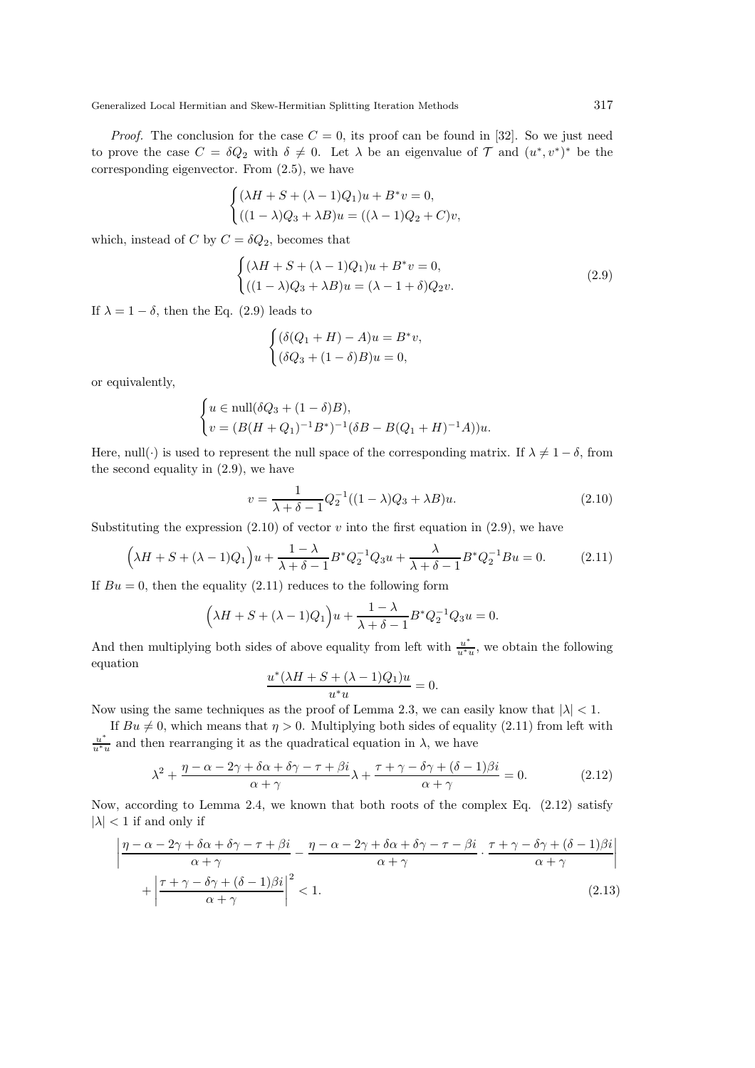*Proof.* The conclusion for the case  $C = 0$ , its proof can be found in [32]. So we just need to prove the case  $C = \delta Q_2$  with  $\delta \neq 0$ . Let  $\lambda$  be an eigenvalue of  $\mathcal T$  and  $(u^*, v^*)^*$  be the corresponding eigenvector. From (2.5), we have

$$
\begin{cases} (\lambda H + S + (\lambda - 1)Q_1)u + B^*v = 0, \\ ((1 - \lambda)Q_3 + \lambda B)u = ((\lambda - 1)Q_2 + C)v, \end{cases}
$$

which, instead of C by  $C = \delta Q_2$ , becomes that

$$
\begin{cases}\n(\lambda H + S + (\lambda - 1)Q_1)u + B^*v = 0, \\
((1 - \lambda)Q_3 + \lambda B)u = (\lambda - 1 + \delta)Q_2v.\n\end{cases}
$$
\n(2.9)

If  $\lambda = 1 - \delta$ , then the Eq. (2.9) leads to

$$
\begin{cases} (\delta(Q_1 + H) - A)u = B^*v, \\ (\delta Q_3 + (1 - \delta)B)u = 0, \end{cases}
$$

or equivalently,

$$
\begin{cases} u \in \text{null}(\delta Q_3 + (1 - \delta)B), \\ v = (B(H + Q_1)^{-1}B^*)^{-1}(\delta B - B(Q_1 + H)^{-1}A))u. \end{cases}
$$

Here, null(·) is used to represent the null space of the corresponding matrix. If  $\lambda \neq 1 - \delta$ , from the second equality in (2.9), we have

$$
v = \frac{1}{\lambda + \delta - 1} Q_2^{-1} ((1 - \lambda)Q_3 + \lambda B) u.
$$
 (2.10)

Substituting the expression  $(2.10)$  of vector v into the first equation in  $(2.9)$ , we have

$$
\left(\lambda H + S + (\lambda - 1)Q_1\right)u + \frac{1 - \lambda}{\lambda + \delta - 1}B^*Q_2^{-1}Q_3u + \frac{\lambda}{\lambda + \delta - 1}B^*Q_2^{-1}Bu = 0.
$$
 (2.11)

If  $Bu = 0$ , then the equality (2.11) reduces to the following form

$$
\left(\lambda H + S + (\lambda - 1)Q_1\right)u + \frac{1 - \lambda}{\lambda + \delta - 1}B^*Q_2^{-1}Q_3u = 0.
$$

And then multiplying both sides of above equality from left with  $\frac{u^*}{u^{*}}$  $\frac{u}{u^*u}$ , we obtain the following equation

$$
\frac{u^*(\lambda H+S+(\lambda-1)Q_1)u}{u^*u}=0.
$$

Now using the same techniques as the proof of Lemma 2.3, we can easily know that  $|\lambda| < 1$ .

If  $Bu \neq 0$ , which means that  $\eta > 0$ . Multiplying both sides of equality (2.11) from left with u ∗  $\frac{u^*}{u^*u}$  and then rearranging it as the quadratical equation in  $\lambda$ , we have

$$
\lambda^2 + \frac{\eta - \alpha - 2\gamma + \delta\alpha + \delta\gamma - \tau + \beta i}{\alpha + \gamma} \lambda + \frac{\tau + \gamma - \delta\gamma + (\delta - 1)\beta i}{\alpha + \gamma} = 0.
$$
 (2.12)

Now, according to Lemma 2.4, we known that both roots of the complex Eq. (2.12) satisfy  $|\lambda|$  < 1 if and only if

$$
\left| \frac{\eta - \alpha - 2\gamma + \delta\alpha + \delta\gamma - \tau + \beta i}{\alpha + \gamma} - \frac{\eta - \alpha - 2\gamma + \delta\alpha + \delta\gamma - \tau - \beta i}{\alpha + \gamma} \cdot \frac{\tau + \gamma - \delta\gamma + (\delta - 1)\beta i}{\alpha + \gamma} \right|
$$
\n
$$
+ \left| \frac{\tau + \gamma - \delta\gamma + (\delta - 1)\beta i}{\alpha + \gamma} \right|^2 < 1. \tag{2.13}
$$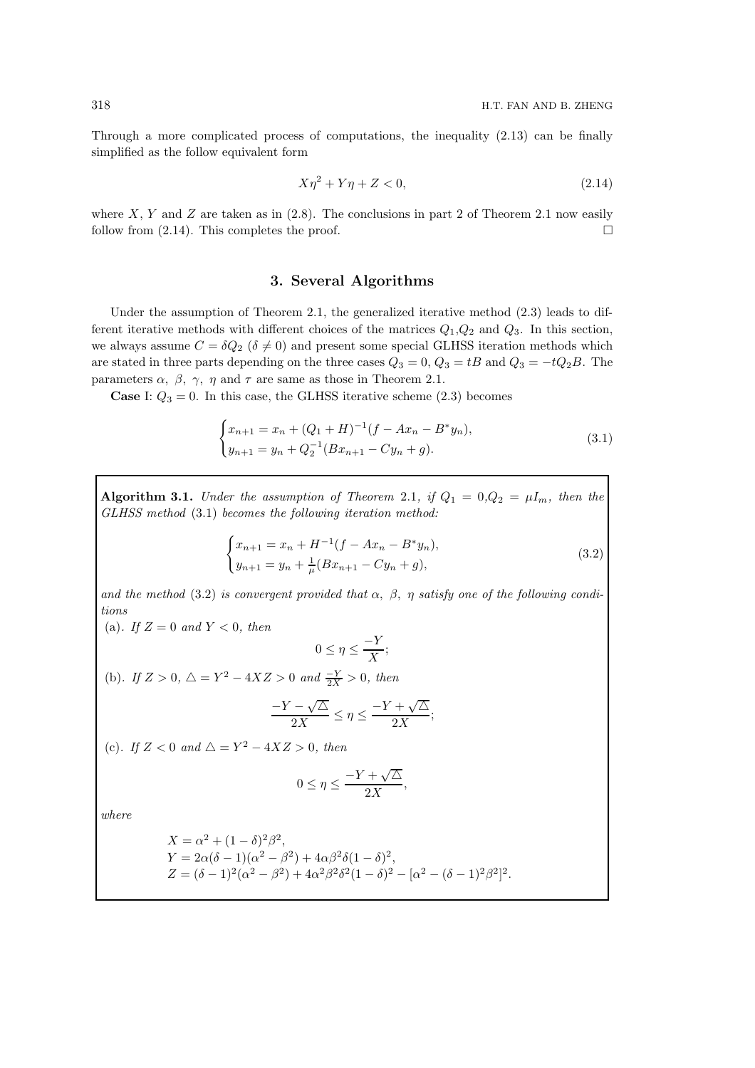Through a more complicated process of computations, the inequality (2.13) can be finally simplified as the follow equivalent form

$$
X\eta^2 + Y\eta + Z < 0,\tag{2.14}
$$

where X, Y and Z are taken as in  $(2.8)$ . The conclusions in part 2 of Theorem 2.1 now easily follow from  $(2.14)$ . This completes the proof.

#### 3. Several Algorithms

Under the assumption of Theorem 2.1, the generalized iterative method (2.3) leads to different iterative methods with different choices of the matrices  $Q_1, Q_2$  and  $Q_3$ . In this section, we always assume  $C = \delta Q_2$  ( $\delta \neq 0$ ) and present some special GLHSS iteration methods which are stated in three parts depending on the three cases  $Q_3 = 0$ ,  $Q_3 = tB$  and  $Q_3 = -tQ_2B$ . The parameters  $\alpha$ ,  $\beta$ ,  $\gamma$ ,  $\eta$  and  $\tau$  are same as those in Theorem 2.1.

**Case** I:  $Q_3 = 0$ . In this case, the GLHSS iterative scheme (2.3) becomes

$$
\begin{cases} x_{n+1} = x_n + (Q_1 + H)^{-1} (f - Ax_n - B^* y_n), \\ y_{n+1} = y_n + Q_2^{-1} (Bx_{n+1} - Cy_n + g). \end{cases}
$$
\n(3.1)

Algorithm 3.1. *Under the assumption of Theorem 2.1, if*  $Q_1 = 0, Q_2 = \mu I_m$ *, then the GLHSS method* (3.1) *becomes the following iteration method:*

$$
\begin{cases} x_{n+1} = x_n + H^{-1}(f - Ax_n - B^*y_n), \\ y_{n+1} = y_n + \frac{1}{\mu}(Bx_{n+1} - Cy_n + g), \end{cases}
$$
 (3.2)

and the method  $(3.2)$  is convergent provided that  $\alpha$ ,  $\beta$ ,  $\eta$  satisfy one of the following condi*tions*

(a). If  $Z = 0$  and  $Y < 0$ , then

$$
0 \le \eta \le \frac{-Y}{X};
$$

(b). If  $Z > 0$ ,  $\triangle = Y^2 - 4XZ > 0$  and  $\frac{-Y}{2X} > 0$ , then

$$
\frac{-Y - \sqrt{\triangle}}{2X} \le \eta \le \frac{-Y + \sqrt{\triangle}}{2X};
$$

(c). If  $Z < 0$  and  $\triangle = Y^2 - 4XZ > 0$ , then

$$
0 \le \eta \le \frac{-Y + \sqrt{\triangle}}{2X},
$$

$$
X = \alpha^2 + (1 - \delta)^2 \beta^2,
$$
  
\n
$$
Y = 2\alpha(\delta - 1)(\alpha^2 - \beta^2) + 4\alpha\beta^2 \delta(1 - \delta)^2,
$$
  
\n
$$
Z = (\delta - 1)^2(\alpha^2 - \beta^2) + 4\alpha^2\beta^2 \delta^2(1 - \delta)^2 - [\alpha^2 - (\delta - 1)^2\beta^2]^2.
$$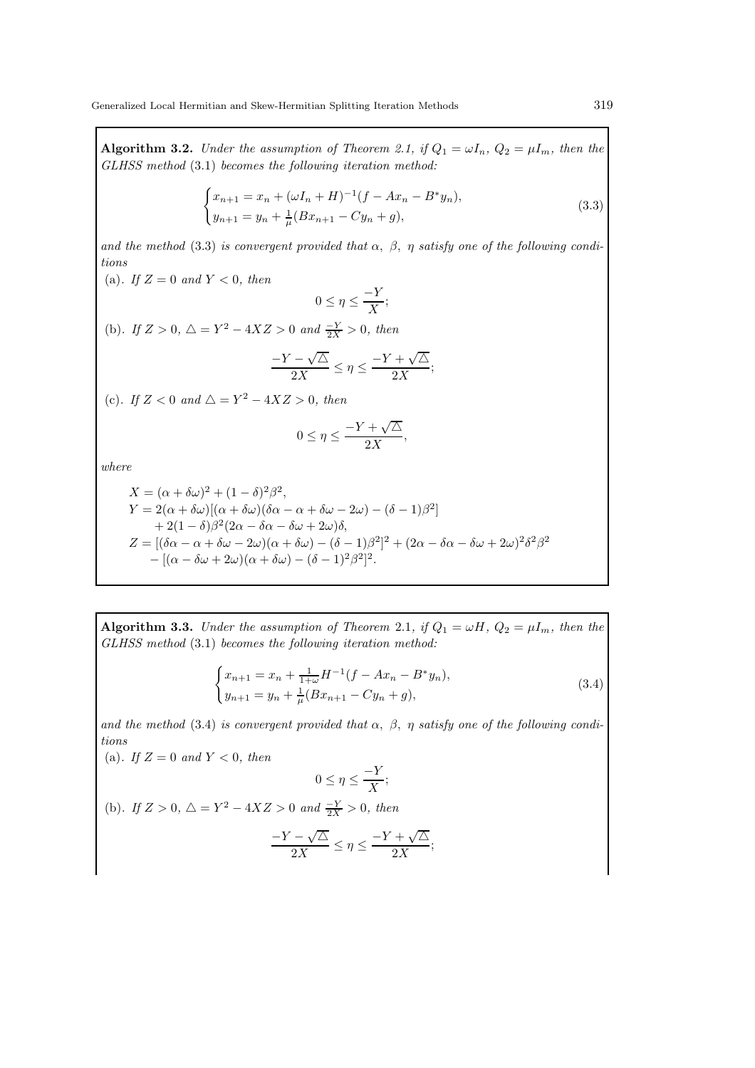**Algorithm 3.2.** *Under the assumption of Theorem 2.1, if*  $Q_1 = \omega I_n$ ,  $Q_2 = \mu I_m$ *, then the GLHSS method* (3.1) *becomes the following iteration method:*

$$
\begin{cases} x_{n+1} = x_n + (\omega I_n + H)^{-1} (f - Ax_n - B^* y_n), \\ y_{n+1} = y_n + \frac{1}{\mu} (Bx_{n+1} - Cy_n + g), \end{cases}
$$
 (3.3)

and the method (3.3) *is convergent provided that*  $\alpha$ ,  $\beta$ ,  $\eta$  *satisfy one of the following conditions*

(a). If  $Z = 0$  and  $Y < 0$ , then  $0 \leq \eta \leq \frac{-Y}{X}$  $\frac{1}{X}$ ; (b). If  $Z > 0$ ,  $\triangle = Y^2 - 4XZ > 0$  and  $\frac{-Y}{2X} > 0$ , then  $-Y - \sqrt{\triangle}$  $\frac{1-\sqrt{\Delta}}{2X} \leq \eta \leq \frac{-Y+\sqrt{\Delta}}{2X}$  $\frac{v}{2X};$ (c). If  $Z < 0$  and  $\triangle = Y^2 - 4XZ > 0$ , then

$$
0 \le \eta \le \frac{-Y + \sqrt{\Delta}}{2X},
$$

*where*

$$
X = (\alpha + \delta\omega)^2 + (1 - \delta)^2 \beta^2,
$$
  
\n
$$
Y = 2(\alpha + \delta\omega)[(\alpha + \delta\omega)(\delta\alpha - \alpha + \delta\omega - 2\omega) - (\delta - 1)\beta^2]
$$
  
\n
$$
+ 2(1 - \delta)\beta^2 (2\alpha - \delta\alpha - \delta\omega + 2\omega)\delta,
$$
  
\n
$$
Z = [(\delta\alpha - \alpha + \delta\omega - 2\omega)(\alpha + \delta\omega) - (\delta - 1)\beta^2]^2 + (2\alpha - \delta\alpha - \delta\omega + 2\omega)^2 \delta^2 \beta^2
$$
  
\n
$$
- [(\alpha - \delta\omega + 2\omega)(\alpha + \delta\omega) - (\delta - 1)^2 \beta^2]^2.
$$

**Algorithm 3.3.** *Under the assumption of Theorem 2.1, if*  $Q_1 = \omega H$ *,*  $Q_2 = \mu I_m$ *, then the GLHSS method* (3.1) *becomes the following iteration method:*

$$
\begin{cases} x_{n+1} = x_n + \frac{1}{1+\omega} H^{-1} (f - Ax_n - B^* y_n), \\ y_{n+1} = y_n + \frac{1}{\mu} (B x_{n+1} - C y_n + g), \end{cases}
$$
 (3.4)

and the method (3.4) *is convergent provided that*  $\alpha$ ,  $\beta$ ,  $\eta$  *satisfy one of the following conditions*

(a). If  $Z = 0$  and  $Y < 0$ , then  $0 \leq \eta \leq \frac{-Y}{X}$  $\frac{1}{X}$ ; (b). If  $Z > 0$ ,  $\triangle = Y^2 - 4XZ > 0$  and  $\frac{-Y}{2X} > 0$ , then √ √

$$
\frac{-Y-\sqrt{\triangle}}{2X} \le \eta \le \frac{-Y+\sqrt{\triangle}}{2X};
$$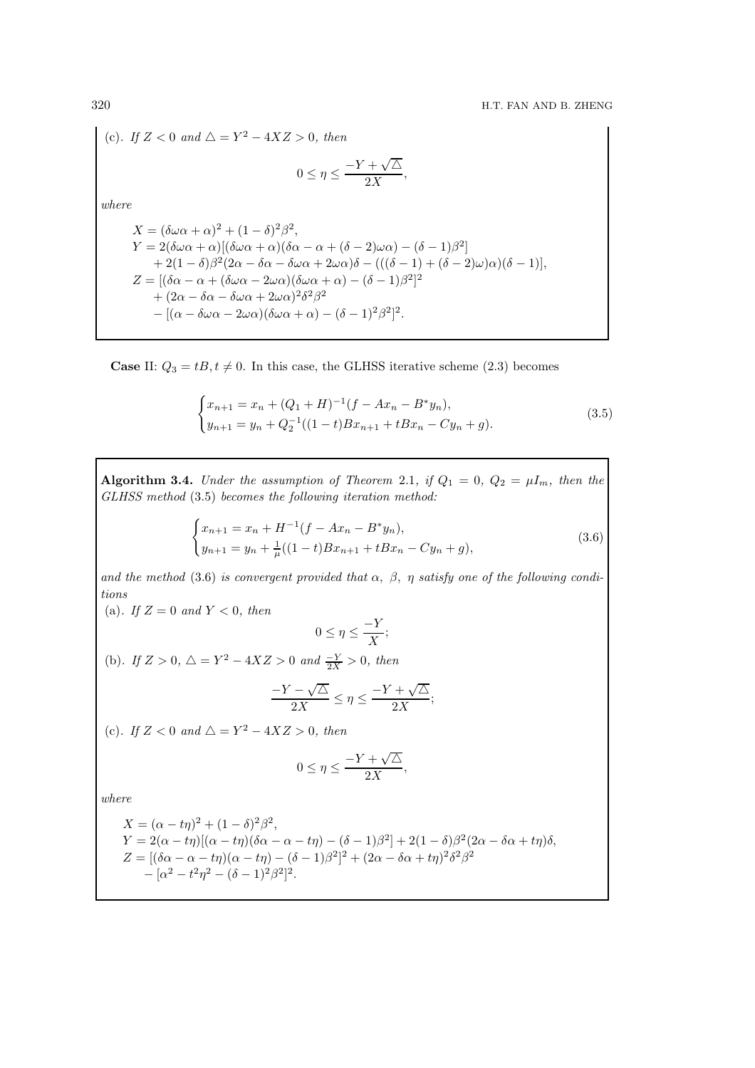(c). If 
$$
Z < 0
$$
 and  $\Delta = Y^2 - 4XZ > 0$ , then  
\n
$$
0 \le \eta \le \frac{-Y + \sqrt{\Delta}}{2X},
$$
\nwhere  
\n
$$
X = (\delta\omega\alpha + \alpha)^2 + (1 - \delta)^2 \beta^2,
$$
\n
$$
Y = 2(\delta\omega\alpha + \alpha)[(\delta\omega\alpha + \alpha)(\delta\alpha - \alpha + (\delta - 2)\omega\alpha) - (\delta - 1)\beta^2]
$$
\n
$$
+ 2(1 - \delta)\beta^2(2\alpha - \delta\alpha - \delta\omega\alpha + 2\omega\alpha)\delta - (((\delta - 1) + (\delta - 2)\omega)\alpha)(\delta - 1)],
$$
\n
$$
Z = [(\delta\alpha - \alpha + (\delta\omega\alpha - 2\omega\alpha)(\delta\omega\alpha + \alpha) - (\delta - 1)\beta^2]^2
$$
\n
$$
+ (2\alpha - \delta\alpha - \delta\omega\alpha + 2\omega\alpha)^2 \delta^2 \beta^2
$$
\n
$$
- [(\alpha - \delta\omega\alpha - 2\omega\alpha)(\delta\omega\alpha + \alpha) - (\delta - 1)^2 \beta^2]^2.
$$

**Case** II:  $Q_3 = tB, t \neq 0$ . In this case, the GLHSS iterative scheme (2.3) becomes

$$
\begin{cases}\nx_{n+1} = x_n + (Q_1 + H)^{-1}(f - Ax_n - B^*y_n), \\
y_{n+1} = y_n + Q_2^{-1}((1-t)Bx_{n+1} + tBx_n - Cy_n + g).\n\end{cases}
$$
\n(3.5)

Algorithm 3.4. *Under the assumption of Theorem 2.1, if*  $Q_1 = 0$ ,  $Q_2 = \mu I_m$ *, then the GLHSS method* (3.5) *becomes the following iteration method:*

$$
\begin{cases}\nx_{n+1} = x_n + H^{-1}(f - Ax_n - B^*y_n), \\
y_{n+1} = y_n + \frac{1}{\mu}((1-t)Bx_{n+1} + tBx_n - Cy_n + g),\n\end{cases}
$$
\n(3.6)

*and the method* (3.6) *is convergent provided that*  $\alpha$ ,  $\beta$ ,  $\eta$  *satisfy one of the following conditions*

$$
0\leq \eta \leq \frac{-Y}{X};
$$

(b). If  $Z > 0$ ,  $\triangle = Y^2 - 4XZ > 0$  and  $\frac{-Y}{2X} > 0$ , then

$$
\frac{-Y - \sqrt{\triangle}}{2X} \le \eta \le \frac{-Y + \sqrt{\triangle}}{2X};
$$

(c). If  $Z < 0$  and  $\triangle = Y^2 - 4XZ > 0$ , then

(a). If  $Z = 0$  and  $Y < 0$ , then

$$
0\leq \eta \leq \frac{-Y+\sqrt{\triangle}}{2X},
$$

$$
X = (\alpha - t\eta)^2 + (1 - \delta)^2 \beta^2,
$$
  
\n
$$
Y = 2(\alpha - t\eta)[(\alpha - t\eta)(\delta\alpha - \alpha - t\eta) - (\delta - 1)\beta^2] + 2(1 - \delta)\beta^2(2\alpha - \delta\alpha + t\eta)\delta,
$$
  
\n
$$
Z = [(\delta\alpha - \alpha - t\eta)(\alpha - t\eta) - (\delta - 1)\beta^2]^2 + (2\alpha - \delta\alpha + t\eta)^2 \delta^2 \beta^2
$$
  
\n
$$
- [\alpha^2 - t^2\eta^2 - (\delta - 1)^2\beta^2]^2.
$$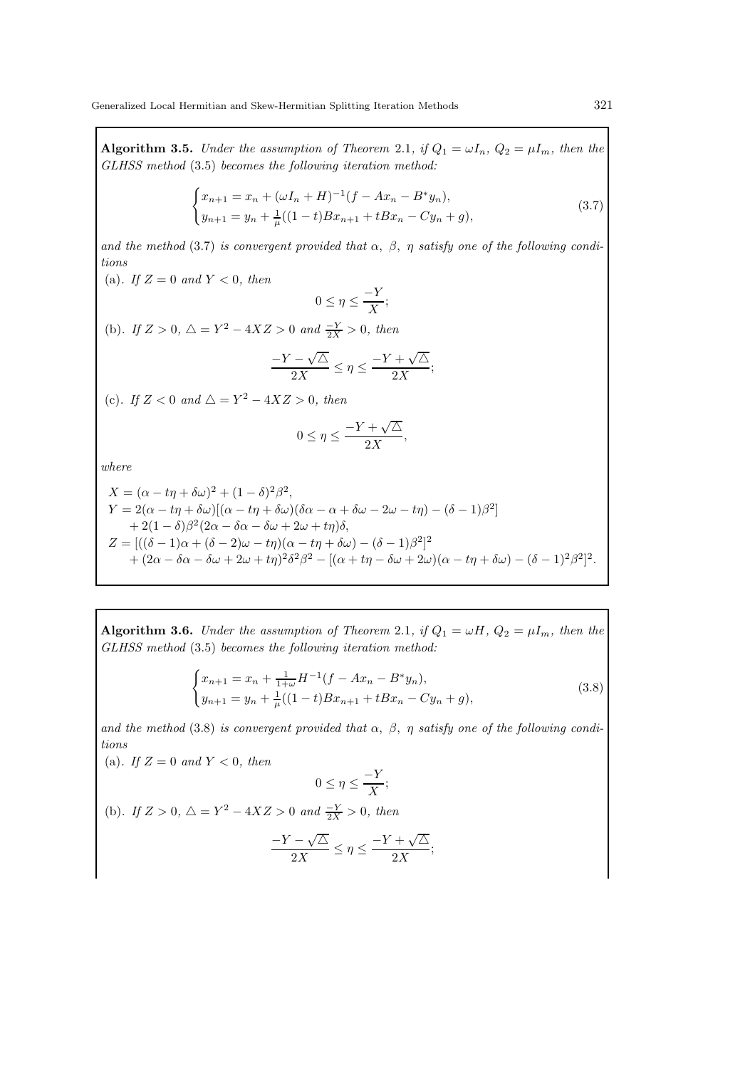Algorithm 3.5. *Under the assumption of Theorem 2.1, if*  $Q_1 = \omega I_n$ ,  $Q_2 = \mu I_m$ *, then the GLHSS method* (3.5) *becomes the following iteration method:*

$$
\begin{cases}\n x_{n+1} = x_n + (\omega I_n + H)^{-1} (f - Ax_n - B^* y_n), \\
 y_{n+1} = y_n + \frac{1}{\mu} ((1-t) B x_{n+1} + t B x_n - C y_n + g),\n\end{cases}
$$
\n(3.7)

and the method (3.7) *is convergent provided that*  $\alpha$ ,  $\beta$ ,  $\eta$  *satisfy one of the following conditions*

(a). If  $Z = 0$  and  $Y < 0$ , then

$$
0 \le \eta \le \frac{-Y}{X};
$$

(b). If  $Z > 0$ ,  $\triangle = Y^2 - 4XZ > 0$  and  $\frac{-Y}{2X} > 0$ , then

$$
\frac{-Y-\sqrt{\triangle}}{2X}\leq \eta\leq \frac{-Y+\sqrt{\triangle}}{2X};
$$

(c). If  $Z < 0$  and  $\triangle = Y^2 - 4XZ > 0$ , then

$$
0 \le \eta \le \frac{-Y + \sqrt{\Delta}}{2X},
$$

*where*

$$
X = (\alpha - t\eta + \delta\omega)^2 + (1 - \delta)^2 \beta^2,
$$
  
\n
$$
Y = 2(\alpha - t\eta + \delta\omega)[(\alpha - t\eta + \delta\omega)(\delta\alpha - \alpha + \delta\omega - 2\omega - t\eta) - (\delta - 1)\beta^2]
$$
  
\n
$$
+ 2(1 - \delta)\beta^2(2\alpha - \delta\alpha - \delta\omega + 2\omega + t\eta)\delta,
$$
  
\n
$$
Z = [((\delta - 1)\alpha + (\delta - 2)\omega - t\eta)(\alpha - t\eta + \delta\omega) - (\delta - 1)\beta^2]^2
$$
  
\n
$$
+ (2\alpha - \delta\alpha - \delta\omega + 2\omega + t\eta)^2 \delta^2 \beta^2 - [(\alpha + t\eta - \delta\omega + 2\omega)(\alpha - t\eta + \delta\omega) - (\delta - 1)^2 \beta^2]^2.
$$

Algorithm 3.6. *Under the assumption of Theorem 2.1, if*  $Q_1 = \omega H$ ,  $Q_2 = \mu I_m$ *, then the GLHSS method* (3.5) *becomes the following iteration method:*

$$
\begin{cases}\nx_{n+1} = x_n + \frac{1}{1+\omega} H^{-1} (f - Ax_n - B^* y_n), \\
y_{n+1} = y_n + \frac{1}{\mu} ((1-t) B x_{n+1} + t B x_n - C y_n + g),\n\end{cases} \tag{3.8}
$$

and the method (3.8) *is convergent provided that*  $\alpha$ ,  $\beta$ ,  $\eta$  *satisfy one of the following conditions*

(a). If  $Z = 0$  and  $Y < 0$ , then  $0 \leq \eta \leq \frac{-Y}{X}$  $\frac{1}{X}$ ; (b). If  $Z > 0$ ,  $\triangle = Y^2 - 4XZ > 0$  and  $\frac{-Y}{2X} > 0$ , then

$$
\frac{-Y - \sqrt{\triangle}}{2X} \le \eta \le \frac{-Y + \sqrt{\triangle}}{2X};
$$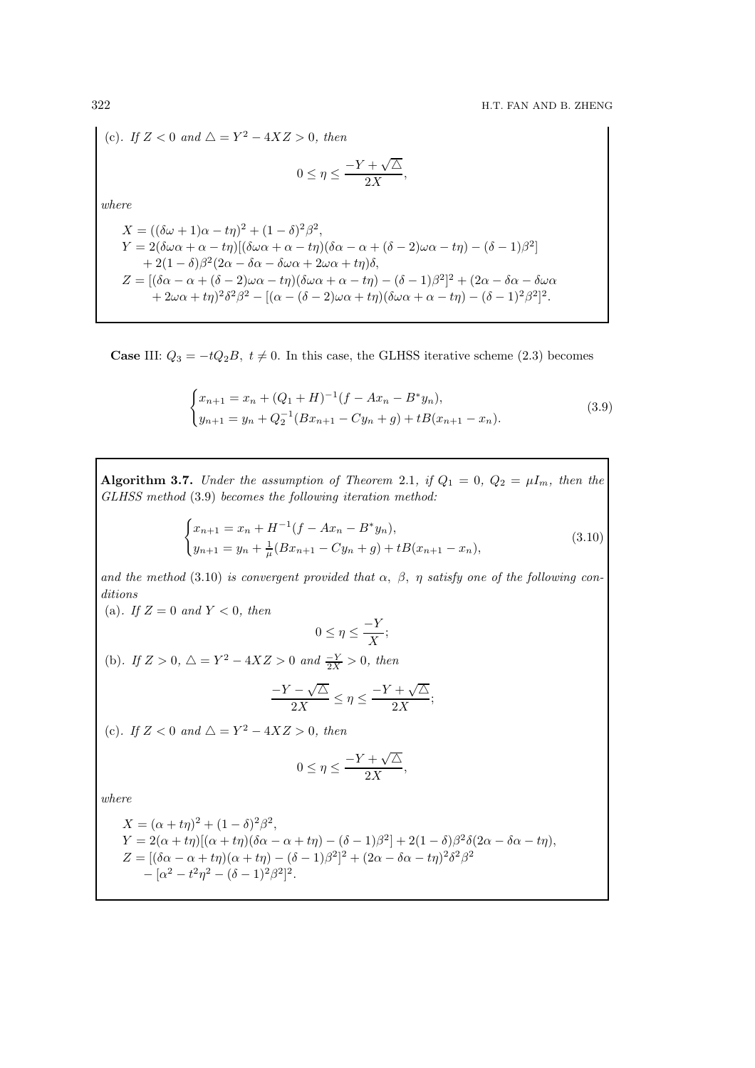(c). If 
$$
Z < 0
$$
 and  $\Delta = Y^2 - 4XZ > 0$ , then  
\n
$$
0 \le \eta \le \frac{-Y + \sqrt{\Delta}}{2X},
$$
\nwhere  
\n
$$
X = ((\delta\omega + 1)\alpha - t\eta)^2 + (1 - \delta)^2 \beta^2,
$$
\n
$$
Y = 2(\delta\omega\alpha + \alpha - t\eta)[(\delta\omega\alpha + \alpha - t\eta)(\delta\alpha - \alpha + (\delta - 2)\omega\alpha - t\eta) - (\delta - 1)\beta^2]
$$
\n
$$
+ 2(1 - \delta)\beta^2(2\alpha - \delta\alpha - \delta\omega\alpha + 2\omega\alpha + t\eta)\delta,
$$
\n
$$
Z = [(\delta\alpha - \alpha + (\delta - 2)\omega\alpha - t\eta)(\delta\omega\alpha + \alpha - t\eta) - (\delta - 1)\beta^2]^2 + (2\alpha - \delta\alpha - \delta\omega\alpha + 2\omega\alpha + t\eta)^2\delta^2\beta^2 - [(\alpha - (\delta - 2)\omega\alpha + t\eta)(\delta\omega\alpha + \alpha - t\eta) - (\delta - 1)^2\beta^2]^2.
$$

**Case III:**  $Q_3 = -tQ_2B$ ,  $t \neq 0$ . In this case, the GLHSS iterative scheme (2.3) becomes

$$
\begin{cases}\nx_{n+1} = x_n + (Q_1 + H)^{-1}(f - Ax_n - B^*y_n), \\
y_{n+1} = y_n + Q_2^{-1}(Bx_{n+1} - Cy_n + g) + tB(x_{n+1} - x_n).\n\end{cases}
$$
\n(3.9)

Algorithm 3.7. *Under the assumption of Theorem 2.1, if*  $Q_1 = 0$ ,  $Q_2 = \mu I_m$ *, then the GLHSS method* (3.9) *becomes the following iteration method:*

$$
\begin{cases}\nx_{n+1} = x_n + H^{-1}(f - Ax_n - B^*y_n), \\
y_{n+1} = y_n + \frac{1}{\mu}(Bx_{n+1} - Cy_n + g) + tB(x_{n+1} - x_n),\n\end{cases}
$$
\n(3.10)

and the method (3.10) *is convergent provided that*  $\alpha$ ,  $\beta$ ,  $\eta$  *satisfy one of the following conditions*

$$
0 \le \eta \le \frac{-Y}{X};
$$

(b). If  $Z > 0$ ,  $\triangle = Y^2 - 4XZ > 0$  and  $\frac{-Y}{2X} > 0$ , then

$$
\frac{-Y - \sqrt{\triangle}}{2X} \le \eta \le \frac{-Y + \sqrt{\triangle}}{2X};
$$

(c). If  $Z < 0$  and  $\triangle = Y^2 - 4XZ > 0$ , then

(a). If  $Z = 0$  and  $Y < 0$ , then

$$
0\leq \eta \leq \frac{-Y+\sqrt{\triangle}}{2X},
$$

$$
X = (\alpha + t\eta)^2 + (1 - \delta)^2 \beta^2,
$$
  
\n
$$
Y = 2(\alpha + t\eta)[(\alpha + t\eta)(\delta\alpha - \alpha + t\eta) - (\delta - 1)\beta^2] + 2(1 - \delta)\beta^2\delta(2\alpha - \delta\alpha - t\eta),
$$
  
\n
$$
Z = [(\delta\alpha - \alpha + t\eta)(\alpha + t\eta) - (\delta - 1)\beta^2]^2 + (2\alpha - \delta\alpha - t\eta)^2\delta^2\beta^2
$$
  
\n
$$
- [\alpha^2 - t^2\eta^2 - (\delta - 1)^2\beta^2]^2.
$$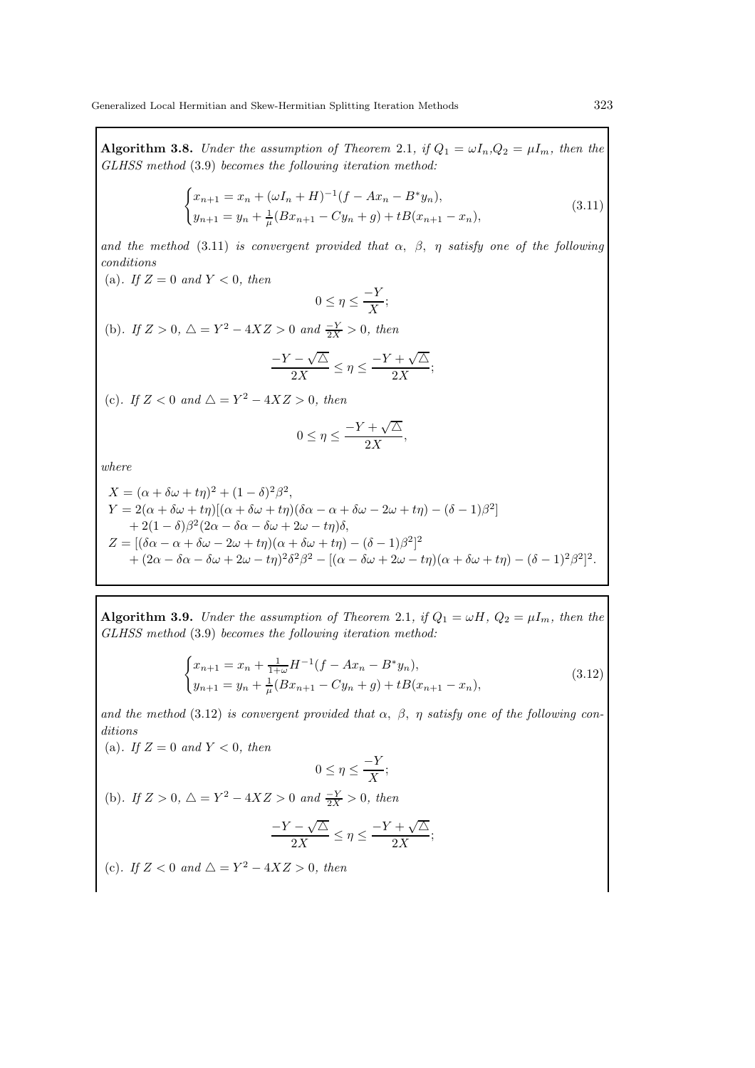**Algorithm 3.8.** *Under the assumption of Theorem 2.1, if*  $Q_1 = \omega I_n$ ,  $Q_2 = \mu I_m$ *, then the GLHSS method* (3.9) *becomes the following iteration method:*

$$
\begin{cases}\nx_{n+1} = x_n + (\omega I_n + H)^{-1}(f - Ax_n - B^*y_n), \\
y_{n+1} = y_n + \frac{1}{\mu}(Bx_{n+1} - Cy_n + g) + tB(x_{n+1} - x_n),\n\end{cases}
$$
\n(3.11)

*and the method* (3.11) *is convergent provided that*  $\alpha$ ,  $\beta$ ,  $\eta$  *satisfy one of the following conditions*

(a). If  $Z = 0$  and  $Y < 0$ , then

$$
0 \le \eta \le \frac{-Y}{X};
$$

(b). If  $Z > 0$ ,  $\triangle = Y^2 - 4XZ > 0$  and  $\frac{-Y}{2X} > 0$ , then

$$
\frac{-Y-\sqrt{\triangle}}{2X}\leq \eta\leq \frac{-Y+\sqrt{\triangle}}{2X};
$$

(c). If  $Z < 0$  and  $\triangle = Y^2 - 4XZ > 0$ , then

$$
0 \le \eta \le \frac{-Y + \sqrt{\Delta}}{2X},
$$

*where*

$$
X = (\alpha + \delta\omega + t\eta)^2 + (1 - \delta)^2 \beta^2,
$$
  
\n
$$
Y = 2(\alpha + \delta\omega + t\eta)[(\alpha + \delta\omega + t\eta)(\delta\alpha - \alpha + \delta\omega - 2\omega + t\eta) - (\delta - 1)\beta^2]
$$
  
\n
$$
+ 2(1 - \delta)\beta^2(2\alpha - \delta\alpha - \delta\omega + 2\omega - t\eta)\delta,
$$
  
\n
$$
Z = [(\delta\alpha - \alpha + \delta\omega - 2\omega + t\eta)(\alpha + \delta\omega + t\eta) - (\delta - 1)\beta^2]^2
$$
  
\n
$$
+ (2\alpha - \delta\alpha - \delta\omega + 2\omega - t\eta)^2 \delta^2 \beta^2 - [(\alpha - \delta\omega + 2\omega - t\eta)(\alpha + \delta\omega + t\eta) - (\delta - 1)^2 \beta^2]^2.
$$

Algorithm 3.9. *Under the assumption of Theorem 2.1, if*  $Q_1 = \omega H$ ,  $Q_2 = \mu I_m$ *, then the GLHSS method* (3.9) *becomes the following iteration method:*

$$
\begin{cases}\nx_{n+1} = x_n + \frac{1}{1+\omega} H^{-1} (f - Ax_n - B^* y_n), \\
y_{n+1} = y_n + \frac{1}{\mu} (Bx_{n+1} - Cy_n + g) + tB(x_{n+1} - x_n),\n\end{cases}
$$
\n(3.12)

and the method (3.12) *is convergent provided that*  $\alpha$ ,  $\beta$ ,  $\eta$  *satisfy one of the following conditions*

(a). If  $Z = 0$  and  $Y < 0$ , then

$$
0 \le \eta \le \frac{-Y}{X};
$$

(b). If  $Z > 0$ ,  $\triangle = Y^2 - 4XZ > 0$  and  $\frac{-Y}{2X} > 0$ , then

$$
\frac{-Y - \sqrt{\triangle}}{2X} \le \eta \le \frac{-Y + \sqrt{\triangle}}{2X};
$$

(c). If  $Z < 0$  and  $\triangle = Y^2 - 4XZ > 0$ , then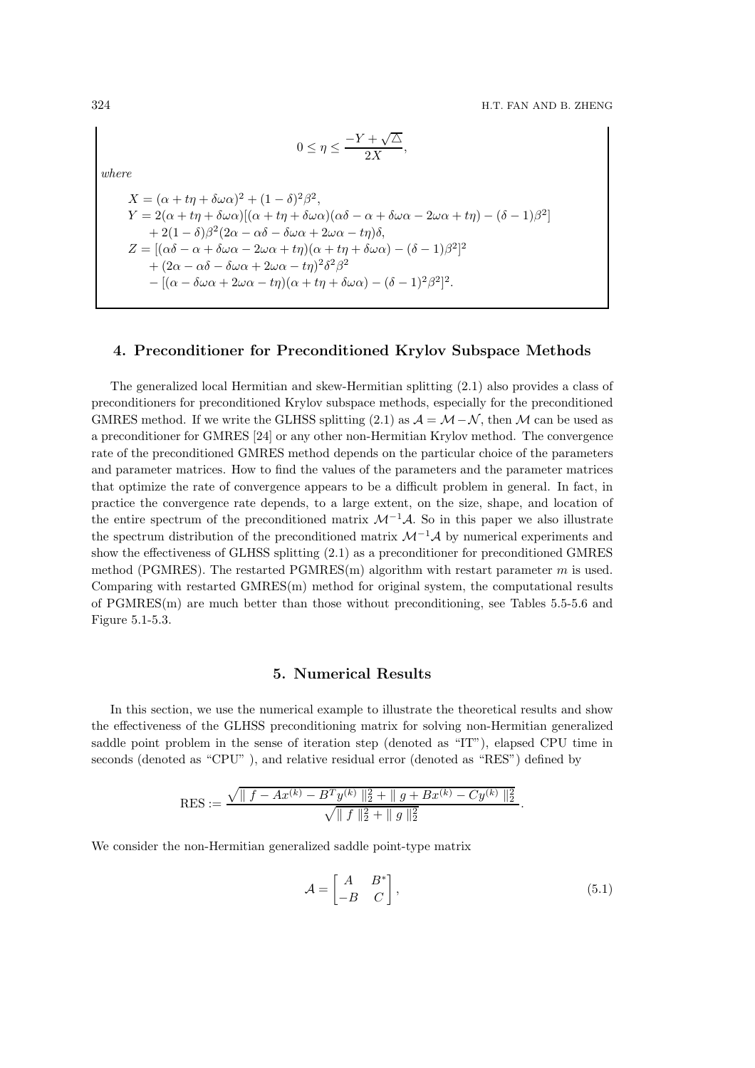$$
0\leq \eta \leq \frac{-Y+\sqrt{\triangle}}{2X},
$$

*where*

 $X = (\alpha + t\eta + \delta\omega\alpha)^2 + (1 - \delta)^2\beta^2,$  $Y = 2(\alpha + t\eta + \delta\omega\alpha)[(\alpha + t\eta + \delta\omega\alpha)(\alpha\delta - \alpha + \delta\omega\alpha - 2\omega\alpha + t\eta) - (\delta - 1)\beta^2]$  $+ 2(1 - \delta)\beta^2(2\alpha - \alpha\delta - \delta\omega\alpha + 2\omega\alpha - t\eta)\delta,$  $Z = [(\alpha \delta - \alpha + \delta \omega \alpha - 2\omega \alpha + t\eta)(\alpha + t\eta + \delta \omega \alpha) - (\delta - 1)\beta^2]^2$  $+ (2\alpha - \alpha\delta - \delta\omega\alpha + 2\omega\alpha - t\eta)^2 \delta^2\beta^2$  $-[(\alpha - \delta\omega\alpha + 2\omega\alpha - t\eta)(\alpha + t\eta + \delta\omega\alpha) - (\delta - 1)^2\beta^2]^2$ .

#### 4. Preconditioner for Preconditioned Krylov Subspace Methods

The generalized local Hermitian and skew-Hermitian splitting (2.1) also provides a class of preconditioners for preconditioned Krylov subspace methods, especially for the preconditioned GMRES method. If we write the GLHSS splitting (2.1) as  $\mathcal{A} = \mathcal{M} - \mathcal{N}$ , then M can be used as a preconditioner for GMRES [24] or any other non-Hermitian Krylov method. The convergence rate of the preconditioned GMRES method depends on the particular choice of the parameters and parameter matrices. How to find the values of the parameters and the parameter matrices that optimize the rate of convergence appears to be a difficult problem in general. In fact, in practice the convergence rate depends, to a large extent, on the size, shape, and location of the entire spectrum of the preconditioned matrix  $\mathcal{M}^{-1}\mathcal{A}$ . So in this paper we also illustrate the spectrum distribution of the preconditioned matrix  $\mathcal{M}^{-1}\mathcal{A}$  by numerical experiments and show the effectiveness of GLHSS splitting (2.1) as a preconditioner for preconditioned GMRES method (PGMRES). The restarted PGMRES(m) algorithm with restart parameter  $m$  is used. Comparing with restarted GMRES(m) method for original system, the computational results of PGMRES(m) are much better than those without preconditioning, see Tables 5.5-5.6 and Figure 5.1-5.3.

#### 5. Numerical Results

In this section, we use the numerical example to illustrate the theoretical results and show the effectiveness of the GLHSS preconditioning matrix for solving non-Hermitian generalized saddle point problem in the sense of iteration step (denoted as "IT"), elapsed CPU time in seconds (denoted as "CPU"), and relative residual error (denoted as "RES") defined by

$$
RES := \frac{\sqrt{\| f - Ax^{(k)} - B^T y^{(k)} \|_2^2 + \| g + Bx^{(k)} - Cy^{(k)} \|_2^2}}{\sqrt{\| f \|_2^2 + \| g \|_2^2}}.
$$

We consider the non-Hermitian generalized saddle point-type matrix

$$
\mathcal{A} = \begin{bmatrix} A & B^* \\ -B & C \end{bmatrix},\tag{5.1}
$$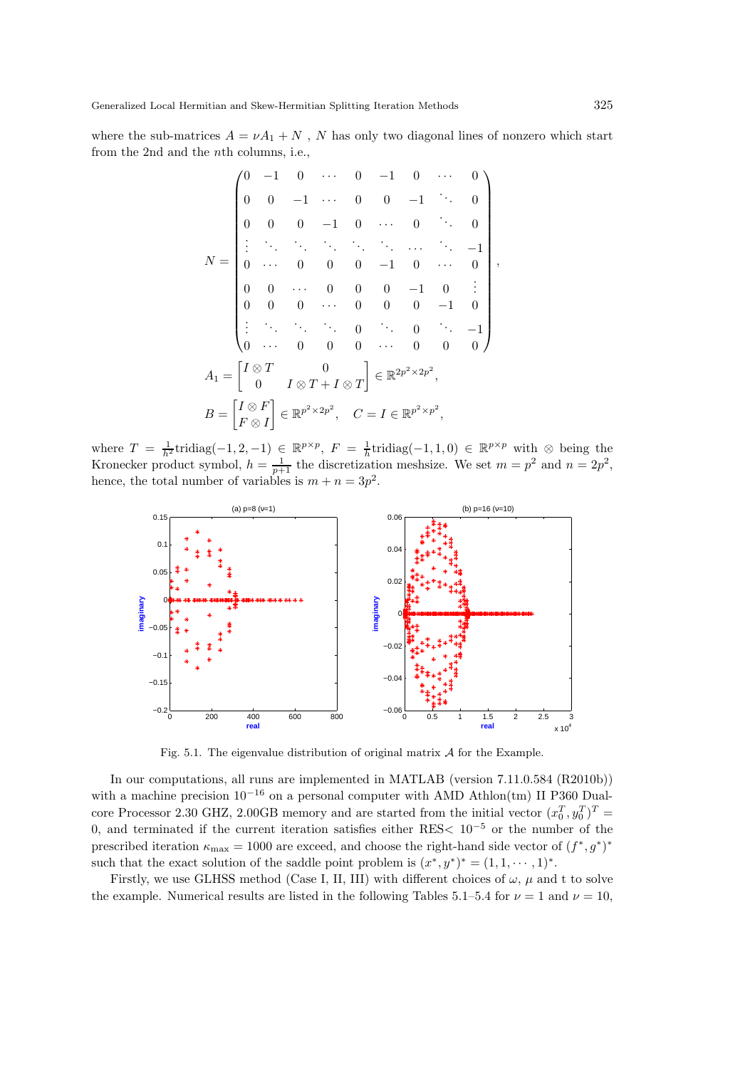where the sub-matrices  $A = vA_1 + N$ , N has only two diagonal lines of nonzero which start from the 2nd and the nth columns, i.e.,

$$
N = \begin{pmatrix} 0 & -1 & 0 & \cdots & 0 & -1 & 0 & \cdots & 0 \\ 0 & 0 & -1 & \cdots & 0 & 0 & -1 & \ddots & 0 \\ 0 & 0 & 0 & -1 & 0 & \cdots & 0 & \ddots & 0 \\ \vdots & \ddots & \ddots & \ddots & \ddots & \ddots & \ddots & \ddots & -1 \\ 0 & \cdots & 0 & 0 & 0 & -1 & 0 & \cdots & 0 \\ 0 & 0 & \cdots & 0 & 0 & 0 & -1 & 0 & \vdots \\ 0 & 0 & 0 & \cdots & 0 & 0 & 0 & -1 & 0 \\ \vdots & \ddots & \ddots & \ddots & \ddots & 0 & \ddots & 0 & \ddots & -1 \\ 0 & \cdots & 0 & 0 & 0 & \cdots & 0 & 0 & 0 \end{pmatrix},
$$

$$
A_1 = \begin{bmatrix} I \otimes T & 0 \\ 0 & I \otimes T + I \otimes T \end{bmatrix} \in \mathbb{R}^{2p^2 \times 2p^2},
$$

$$
B = \begin{bmatrix} I \otimes F \\ F \otimes I \end{bmatrix} \in \mathbb{R}^{p^2 \times 2p^2}, \quad C = I \in \mathbb{R}^{p^2 \times p^2},
$$

where  $T = \frac{1}{h^2}$ tridiag(-1, 2, -1) ∈  $\mathbb{R}^{p \times p}$ ,  $F = \frac{1}{h}$ tridiag(-1, 1, 0) ∈  $\mathbb{R}^{p \times p}$  with ⊗ being the Kronecker product symbol,  $h = \frac{1}{p+1}$  the discretization meshsize. We set  $m = p^2$  and  $n = 2p^2$ , hence, the total number of variables is  $m + n = 3p^2$ .



Fig. 5.1. The eigenvalue distribution of original matrix  $A$  for the Example.

In our computations, all runs are implemented in MATLAB (version 7.11.0.584 (R2010b)) with a machine precision  $10^{-16}$  on a personal computer with AMD Athlon(tm) II P360 Dualcore Processor 2.30 GHZ, 2.00GB memory and are started from the initial vector  $(x_0^T, y_0^T)^T$  = 0, and terminated if the current iteration satisfies either RES< 10<sup>−</sup><sup>5</sup> or the number of the prescribed iteration  $\kappa_{\text{max}} = 1000$  are exceed, and choose the right-hand side vector of  $(f^*, g^*)^*$ such that the exact solution of the saddle point problem is  $(x^*, y^*)^* = (1, 1, \dots, 1)^*$ .

Firstly, we use GLHSS method (Case I, II, III) with different choices of  $\omega$ ,  $\mu$  and t to solve the example. Numerical results are listed in the following Tables 5.1–5.4 for  $\nu = 1$  and  $\nu = 10$ ,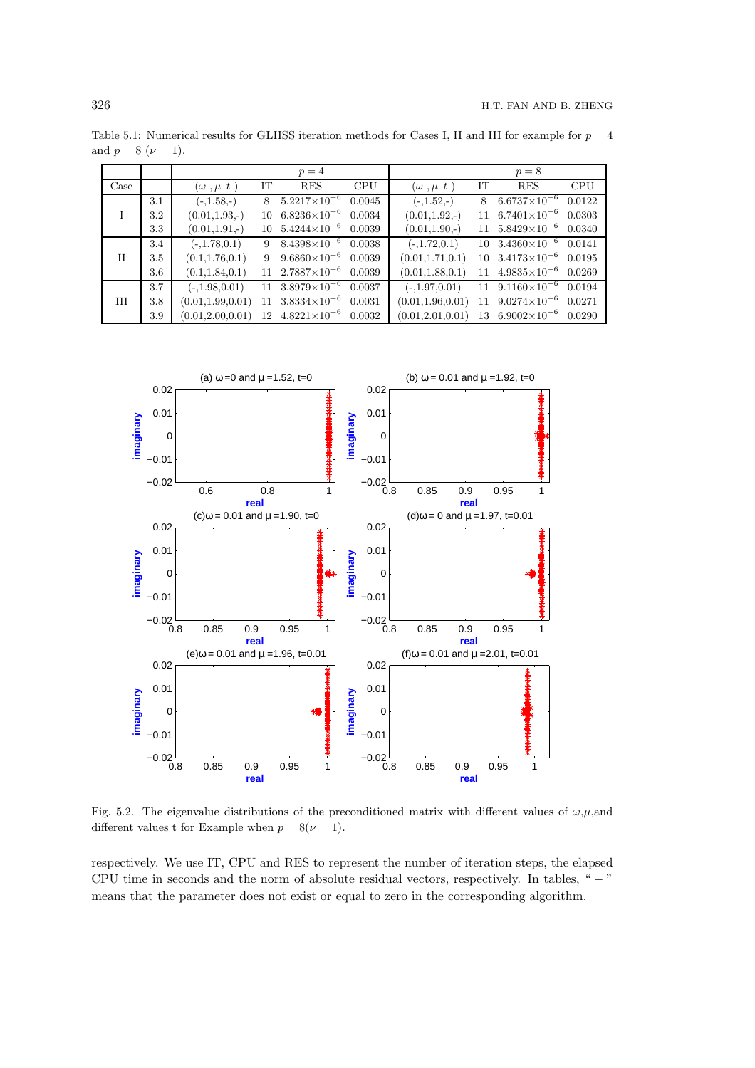Table 5.1: Numerical results for GLHSS iteration methods for Cases I, II and III for example for  $p = 4$ and  $p = 8 \; (\nu = 1)$ .

|             |         |                         |    | $p=4$                            |            |                    |    | $p=8$                            |            |
|-------------|---------|-------------------------|----|----------------------------------|------------|--------------------|----|----------------------------------|------------|
| Case        |         | $(\omega$ , $\mu$ t $)$ | IT | <b>RES</b>                       | <b>CPU</b> | $(\omega, \mu t)$  | IT | <b>RES</b>                       | <b>CPU</b> |
|             | 3.1     | $(-,1.58,-)$            | 8  | $5.2217\times10^{-6}$            | 0.0045     | $(-,1.52,-)$       | 8  | $6.6737\times10^{-6}$            | 0.0122     |
|             | $3.2\,$ | $(0.01, 1.93, -)$       | 10 | $6.8236\times10^{-6}$            | 0.0034     | $(0.01, 1.92, -)$  | 11 | $6.7401\times10^{-6}$            | 0.0303     |
|             | 3.3     | $(0.01, 1.91, -)$       | 10 | $5.4244\times10^{-6}$            | 0.0039     | $(0.01, 1.90, -)$  | 11 | $5.8429\times10^{-6}$            | 0.0340     |
|             | 3.4     | $(-,1.78,0.1)$          | 9  | $8.4398\times10^{-6}$            | 0.0038     | $(-,1.72,0.1)$     | 10 | $3.4360\times10^{-6}$            | 0.0141     |
| $_{\rm II}$ | 3.5     | (0.1, 1.76, 0.1)        | 9  | $9.6860\times10^{-6}$            | 0.0039     | (0.01, 1.71, 0.1)  | 10 | $3.4173\times10^{-6}$            | 0.0195     |
|             | 3.6     | (0.1, 1.84, 0.1)        |    | $11 \quad 2.7887 \times 10^{-6}$ | 0.0039     | (0.01, 1.88, 0.1)  | 11 | $4.9835\times10^{-6}$            | 0.0269     |
|             | 3.7     | $(-,1.98,0.01)$         | 11 | $3.8979\times10^{-6}$            | 0.0037     | $(-,1.97,0.01)$    | 11 | $9.1160\times10^{-6}$            | 0.0194     |
| H           | 3.8     | (0.01, 1.99, 0.01)      | 11 | $3.8334\times10^{-6}$            | 0.0031     | (0.01, 1.96, 0.01) | 11 | $9.0274\times10^{-6}$            | 0.0271     |
|             | 3.9     | (0.01, 2.00, 0.01)      | 12 | $4.8221\times10^{-6}$            | 0.0032     | (0.01, 2.01, 0.01) |    | $13 \quad 6.9002 \times 10^{-6}$ | 0.0290     |



Fig. 5.2. The eigenvalue distributions of the preconditioned matrix with different values of  $\omega,\mu$ ,and different values t for Example when  $p = 8(\nu = 1)$ .

respectively. We use IT, CPU and RES to represent the number of iteration steps, the elapsed CPU time in seconds and the norm of absolute residual vectors, respectively. In tables, " − " means that the parameter does not exist or equal to zero in the corresponding algorithm.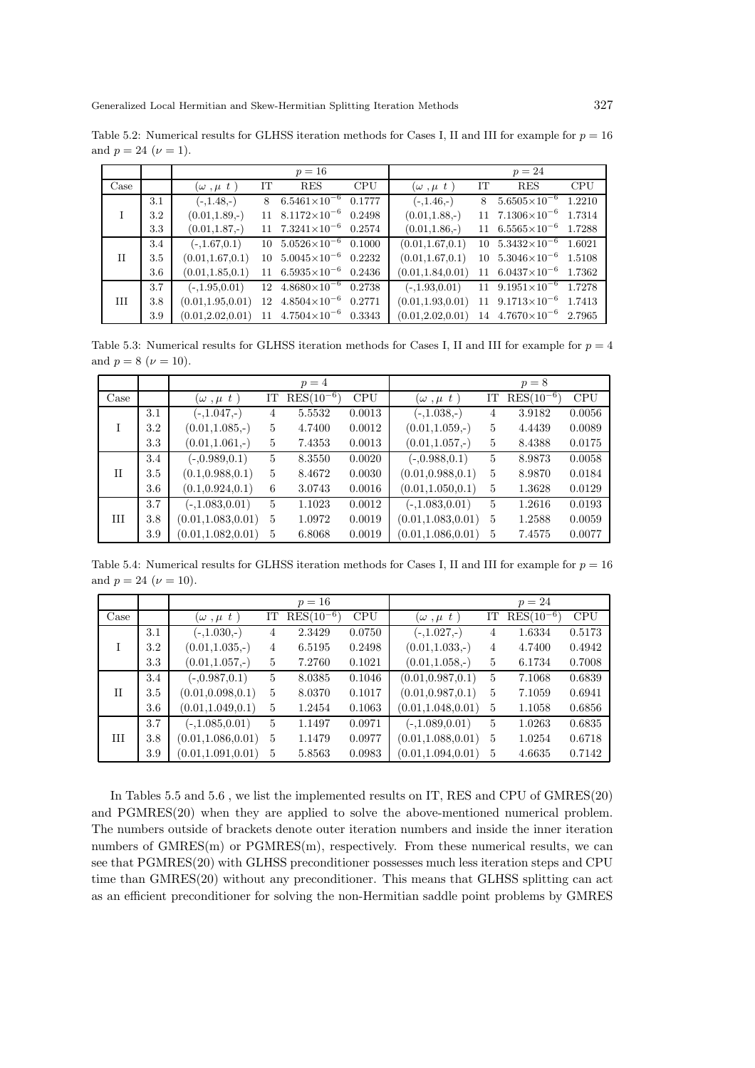Table 5.2: Numerical results for GLHSS iteration methods for Cases I, II and III for example for  $p = 16$ and  $p = 24$   $(\nu = 1)$ .

|                       |     |                                                        |    | $p=16$                                        |            |                                                        |    | $p=24$                                        |            |
|-----------------------|-----|--------------------------------------------------------|----|-----------------------------------------------|------------|--------------------------------------------------------|----|-----------------------------------------------|------------|
| $\operatorname{Case}$ |     | $(\omega, \mu t)$                                      | IT | <b>RES</b>                                    | <b>CPU</b> | $(\omega, \mu t)$                                      | IT | <b>RES</b>                                    | <b>CPU</b> |
|                       | 3.1 | $(-,1.48,-)$                                           | 8  | $6.5461\times10^{-6}$ $0.1777$                |            | $(-,1.46,-)$                                           | 8  | $5.6505\times10^{-6}$                         | 1.2210     |
|                       | 3.2 | $(0.01, 1.89, -)$                                      |    | $11 \quad 8.1172 \times 10^{-6} \quad 0.2498$ |            | $(0.01, 1.88, -)$                                      |    | $11 \quad 7.1306 \times 10^{-6}$              | 1.7314     |
|                       | 3.3 | $(0.01, 1.87, -)$                                      |    | 11 $7.3241 \times 10^{-6}$ 0.2574             |            | $(0.01, 1.86, -)$                                      |    | $11 \quad 6.5565 \times 10^{-6} \quad 1.7288$ |            |
|                       | 3.4 | $(-,1.67,0.1)$                                         |    | $10\quad 5.0526 \times 10^{-6} \quad 0.1000$  |            | (0.01, 1.67, 0.1)                                      |    | 10 $5.3432 \times 10^{-6}$ $1.6021$           |            |
| $\mathbf{H}$          | 3.5 | (0.01, 1.67, 0.1)                                      |    | $10\quad 5.0045 \times 10^{-6} \quad 0.2232$  |            | (0.01, 1.67, 0.1)                                      |    | $10\quad 5.3046 \times 10^{-6} \quad 1.5108$  |            |
|                       | 3.6 | (0.01, 1.85, 0.1)                                      |    | 11 $6.5935 \times 10^{-6}$ 0.2436             |            | (0.01, 1.84, 0.01)                                     |    | $11 \quad 6.0437 \times 10^{-6} \quad 1.7362$ |            |
|                       | 3.7 | $(-,1.95,0.01)$                                        |    | $12 \quad 4.8680 \times 10^{-6} \quad 0.2738$ |            | $(-1.93, 0.01)$                                        |    | $11 \quad 9.1951 \times 10^{-6} \quad 1.7278$ |            |
| Ш                     | 3.8 | (0.01, 1.95, 0.01)                                     |    | $12 \quad 4.8504 \times 10^{-6} \quad 0.2771$ |            | (0.01, 1.93, 0.01)                                     |    | 11 $9.1713 \times 10^{-6}$ 1.7413             |            |
|                       | 3.9 | $(0.01, 2.02, 0.01)$ 11 $4.7504 \times 10^{-6}$ 0.3343 |    |                                               |            | $(0.01, 2.02, 0.01)$ 14 $4.7670 \times 10^{-6}$ 2.7965 |    |                                               |            |

Table 5.3: Numerical results for GLHSS iteration methods for Cases I, II and III for example for  $p = 4$ and  $p = 8 \ (\nu = 10)$ .

|      |     |                     |              | $p=4$          |            |                      |                | $p=8$          |            |
|------|-----|---------------------|--------------|----------------|------------|----------------------|----------------|----------------|------------|
| Case |     | $(\omega, \mu t)$   | IΤ           | $RES(10^{-6})$ | <b>CPU</b> | $(\omega$ , $\mu$ t) | IT             | $RES(10^{-6})$ | <b>CPU</b> |
|      | 3.1 | $(-,1.047,-)$       | 4            | 5.5532         | 0.0013     | $(-,1.038,-)$        | 4              | 3.9182         | 0.0056     |
| T    | 3.2 | $(0.01, 1.085, -)$  | 5            | 4.7400         | 0.0012     | $(0.01, 1.059, -)$   | 5              | 4.4439         | 0.0089     |
|      | 3.3 | $(0.01, 1.061, -)$  | 5            | 7.4353         | 0.0013     | $(0.01, 1.057, -)$   | 5              | 8.4388         | 0.0175     |
|      | 3.4 | $(-0.989, 0.1)$     | $\mathbf{5}$ | 8.3550         | 0.0020     | $(-0.988, 0.1)$      | $\mathbf{5}$   | 8.9873         | 0.0058     |
| Π    | 3.5 | (0.1, 0.988, 0.1)   | 5            | 8.4672         | 0.0030     | (0.01, 0.988, 0.1)   | $\mathbf{5}$   | 8.9870         | 0.0184     |
|      | 3.6 | (0.1, 0.924, 0.1)   | 6            | 3.0743         | 0.0016     | (0.01, 1.050, 0.1)   | 5              | 1.3628         | 0.0129     |
|      | 3.7 | $(-,1.083,0.01)$    | 5            | 1.1023         | 0.0012     | $(-,1.083,0.01)$     | 5              | 1.2616         | 0.0193     |
| Ш    | 3.8 | (0.01, 1.083, 0.01) | 5            | 1.0972         | 0.0019     | (0.01, 1.083, 0.01)  | $\overline{5}$ | 1.2588         | 0.0059     |
|      | 3.9 | (0.01, 1.082, 0.01) | 5            | 6.8068         | 0.0019     | (0.01, 1.086, 0.01)  | 5              | 7.4575         | 0.0077     |

Table 5.4: Numerical results for GLHSS iteration methods for Cases I, II and III for example for  $p = 16$ and  $p = 24$  ( $\nu = 10$ ).

|      |     |                         |    | $p=16$         |            |                         |    | $p=24$         |            |
|------|-----|-------------------------|----|----------------|------------|-------------------------|----|----------------|------------|
| Case |     | $(\omega$ , $\mu$ t $)$ | IT | $RES(10^{-6})$ | <b>CPU</b> | $(\omega$ , $\mu$ t $)$ | IT | $RES(10^{-6})$ | <b>CPU</b> |
|      | 3.1 | $(-1.030,-)$            | 4  | 2.3429         | 0.0750     | $(-1.027,-)$            | 4  | 1.6334         | 0.5173     |
|      | 3.2 | $(0.01, 1.035, -)$      | 4  | 6.5195         | 0.2498     | $(0.01, 1.033, -)$      | 4  | 4.7400         | 0.4942     |
|      | 3.3 | $(0.01, 1.057, -)$      | 5  | 7.2760         | 0.1021     | $(0.01, 1.058, -)$      | 5  | 6.1734         | 0.7008     |
|      | 3.4 | $(-0.987, 0.1)$         | 5  | 8.0385         | 0.1046     | (0.01, 0.987, 0.1)      | 5  | 7.1068         | 0.6839     |
| H    | 3.5 | (0.01, 0.098, 0.1)      | 5  | 8.0370         | 0.1017     | (0.01, 0.987, 0.1)      | 5  | 7.1059         | 0.6941     |
|      | 3.6 | (0.01, 1.049, 0.1)      | 5  | 1.2454         | 0.1063     | (0.01, 1.048, 0.01)     | 5  | 1.1058         | 0.6856     |
|      | 3.7 | $(-,1.085,0.01)$        | 5  | 1.1497         | 0.0971     | $(-,1.089,0.01)$        | 5  | 1.0263         | 0.6835     |
| Ш    | 3.8 | (0.01, 1.086, 0.01)     | 5  | 1.1479         | 0.0977     | (0.01, 1.088, 0.01)     | 5  | 1.0254         | 0.6718     |
|      | 3.9 | (0.01, 1.091, 0.01)     | 5  | 5.8563         | 0.0983     | (0.01, 1.094, 0.01)     | 5  | 4.6635         | 0.7142     |

In Tables 5.5 and 5.6 , we list the implemented results on IT, RES and CPU of GMRES(20) and PGMRES(20) when they are applied to solve the above-mentioned numerical problem. The numbers outside of brackets denote outer iteration numbers and inside the inner iteration numbers of  $GMRES(m)$  or  $PGMRES(m)$ , respectively. From these numerical results, we can see that PGMRES(20) with GLHSS preconditioner possesses much less iteration steps and CPU time than GMRES(20) without any preconditioner. This means that GLHSS splitting can act as an efficient preconditioner for solving the non-Hermitian saddle point problems by GMRES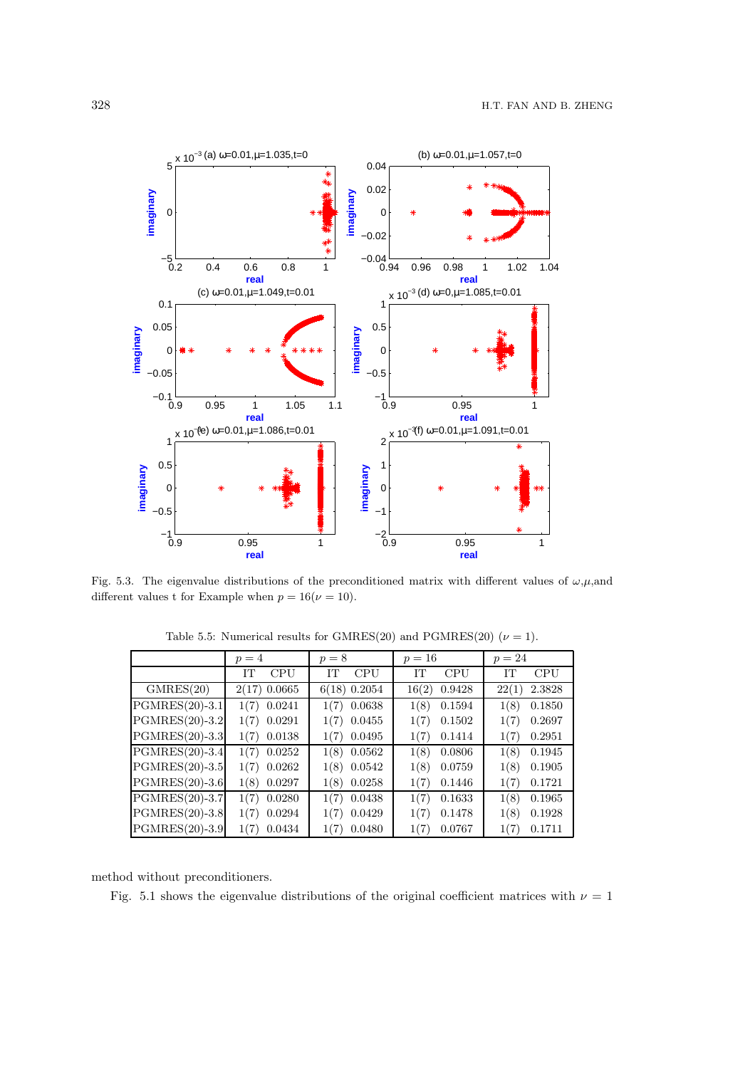

Fig. 5.3. The eigenvalue distributions of the preconditioned matrix with different values of  $\omega,\mu$ ,and different values t for Example when  $p = 16(\nu = 10)$ .

|                  | $p=4$          | $p=8$          | $p = 16$        | $p = 24$        |
|------------------|----------------|----------------|-----------------|-----------------|
|                  | IТ             | IТ             | <b>CPU</b>      | <b>CPU</b>      |
|                  | <b>CPU</b>     | <b>CPU</b>     | IТ              | IΤ              |
| GMRES(20)        | $2(17)$ 0.0665 | $6(18)$ 0.2054 | 16(2)<br>0.9428 | 2.3828<br>22(1) |
| $PGMRES(20)-3.1$ | 1(7)           | 0.0638         | 0.1594          | 0.1850          |
|                  | 0.0241         | 1(7)           | 1(8)            | 1(8)            |
| $PGMRES(20)-3.2$ | 0.0291         | 0.0455         | 0.1502          | 0.2697          |
|                  | 1(7)           | 1(7)           | 1(7)            | 1(7)            |
| $PGMRES(20)-3.3$ | 0.0138         | 0.0495         | 1(7)            | 0.2951          |
|                  | 1(7)           | 1(7)           | 0.1414          | 1(7)            |
| $PGMRES(20)-3.4$ | $1(7)$ 0.0252  | 0.0562<br>1(8) | 1(8)<br>0.0806  | 1(8)<br>0.1945  |
| $PGMRES(20)-3.5$ | $1(7)$ 0.0262  | 0.0542<br>1(8) | 1(8)<br>0.0759  | 0.1905<br>1(8)  |
| $PGMRES(20)-3.6$ | 0.0297         | 0.0258         | 1(7)            | 1(7)            |
|                  | 1(8)           | 1(8)           | 0.1446          | 0.1721          |
| $PGMRES(20)-3.7$ | 0.0280         | 1(7)           | 1(7)            | 1(8)            |
|                  | 1(7)           | 0.0438         | 0.1633          | 0.1965          |
| $PGMRES(20)-3.8$ | 0.0294         | 0.0429         | 0.1478          | 0.1928          |
|                  | 1(7)           | 1(7)           | 1(7)            | 1(8)            |
| PGMRES(20)-3.9   | 0.0434         | 0.0480         | 1(7)            | 0.1711          |
|                  | 1(7)           | 1(7)           | 0.0767          | 1(7)            |

Table 5.5: Numerical results for GMRES(20) and PGMRES(20) ( $\nu = 1$ ).

method without preconditioners.

Fig. 5.1 shows the eigenvalue distributions of the original coefficient matrices with  $\nu = 1$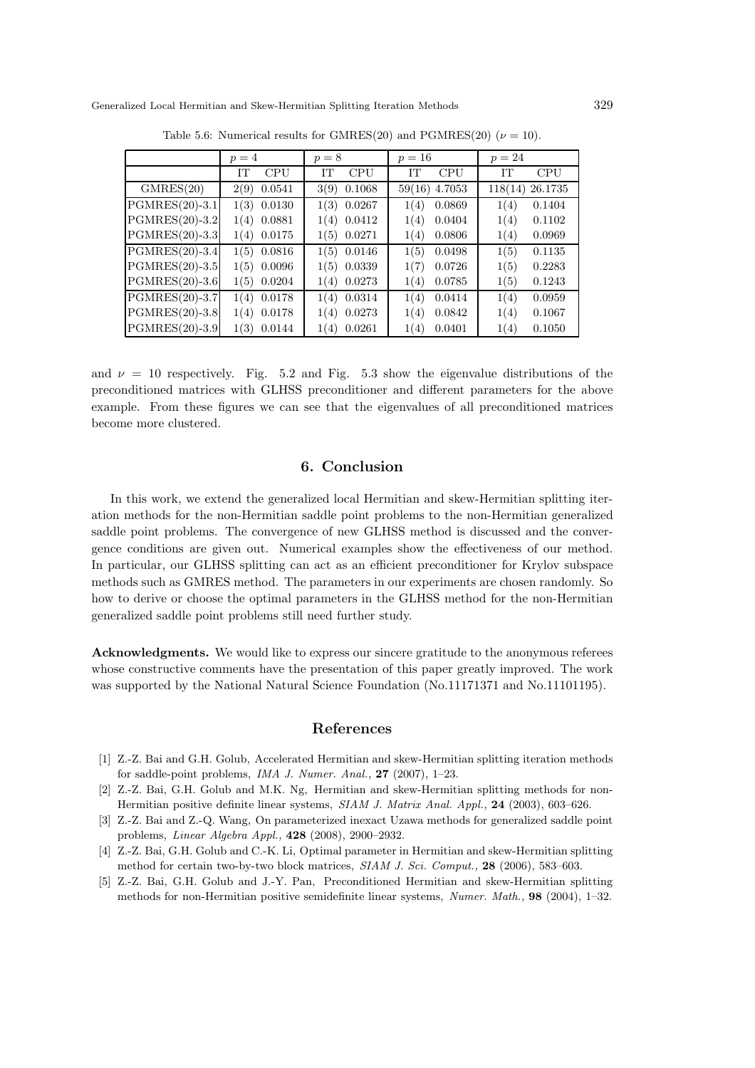|                  | $p=4$      | $p=8$      | $p = 16$   | $p=24$     |
|------------------|------------|------------|------------|------------|
|                  | <b>CPU</b> | <b>CPU</b> | IΤ         | IΤ         |
|                  | IT         | IТ         | <b>CPU</b> | <b>CPU</b> |
| GMRES(20)        | 0.0541     | 0.1068     | 4.7053     | 26.1735    |
|                  | 2(9)       | 3(9)       | 59(16)     | 118(14)    |
| $PGMRES(20)-3.1$ | 0.0130     | 1(3)       | 0.0869     | 1(4)       |
|                  | 1(3)       | 0.0267     | 1(4)       | 0.1404     |
| PGMRES(20)-3.2   | 0.0881     | 0.0412     | 0.0404     | 0.1102     |
|                  | 1(4)       | 1(4)       | 1(4)       | 1(4)       |
| $PGMRES(20)-3.3$ | 0.0175     | 0.0271     | 0.0806     | 0.0969     |
|                  | 1(4)       | 1(5)       | 1(4)       | 1(4)       |
| $PGMRES(20)-3.4$ | 1(5)       | 1(5)       | 1(5)       | 1(5)       |
|                  | 0.0816     | 0.0146     | 0.0498     | 0.1135     |
| $PGMRES(20)-3.5$ | 0.0096     | 0.0339     | 0.0726     | 0.2283     |
|                  | 1(5)       | 1(5)       | 1(7)       | 1(5)       |
| PGMRES(20)-3.6   | 0.0204     | 0.0273     | 0.0785     | 1(5)       |
|                  | 1(5)       | 1(4)       | 1(4)       | 0.1243     |
| PGMRES(20)-3.7   | 0.0178     | 0.0314     | 1(4)       | 1(4)       |
|                  | 1(4)       | 1(4)       | 0.0414     | 0.0959     |
| $PGMRES(20)-3.8$ | 0.0178     | 0.0273     | 1(4)       | 1(4)       |
|                  | 1(4)       | 1(4)       | 0.0842     | 0.1067     |
| PGMRES(20)-3.9   | 1(3)       | 0.0261     | 1(4)       | 0.1050     |
|                  | 0.0144     | 1(4)       | 0.0401     | 1(4)       |

Table 5.6: Numerical results for GMRES(20) and PGMRES(20) ( $\nu = 10$ ).

and  $\nu = 10$  respectively. Fig. 5.2 and Fig. 5.3 show the eigenvalue distributions of the preconditioned matrices with GLHSS preconditioner and different parameters for the above example. From these figures we can see that the eigenvalues of all preconditioned matrices become more clustered.

## 6. Conclusion

In this work, we extend the generalized local Hermitian and skew-Hermitian splitting iteration methods for the non-Hermitian saddle point problems to the non-Hermitian generalized saddle point problems. The convergence of new GLHSS method is discussed and the convergence conditions are given out. Numerical examples show the effectiveness of our method. In particular, our GLHSS splitting can act as an efficient preconditioner for Krylov subspace methods such as GMRES method. The parameters in our experiments are chosen randomly. So how to derive or choose the optimal parameters in the GLHSS method for the non-Hermitian generalized saddle point problems still need further study.

Acknowledgments. We would like to express our sincere gratitude to the anonymous referees whose constructive comments have the presentation of this paper greatly improved. The work was supported by the National Natural Science Foundation (No.11171371 and No.11101195).

#### References

- [1] Z.-Z. Bai and G.H. Golub, Accelerated Hermitian and skew-Hermitian splitting iteration methods for saddle-point problems, *IMA J. Numer. Anal.,* 27 (2007), 1–23.
- [2] Z.-Z. Bai, G.H. Golub and M.K. Ng, Hermitian and skew-Hermitian splitting methods for non-Hermitian positive definite linear systems, *SIAM J. Matrix Anal. Appl.,* 24 (2003), 603–626.
- [3] Z.-Z. Bai and Z.-Q. Wang, On parameterized inexact Uzawa methods for generalized saddle point problems, *Linear Algebra Appl.,* 428 (2008), 2900–2932.
- [4] Z.-Z. Bai, G.H. Golub and C.-K. Li, Optimal parameter in Hermitian and skew-Hermitian splitting method for certain two-by-two block matrices, *SIAM J. Sci. Comput.,* 28 (2006), 583–603.
- [5] Z.-Z. Bai, G.H. Golub and J.-Y. Pan, Preconditioned Hermitian and skew-Hermitian splitting methods for non-Hermitian positive semidefinite linear systems, *Numer. Math.,* 98 (2004), 1–32.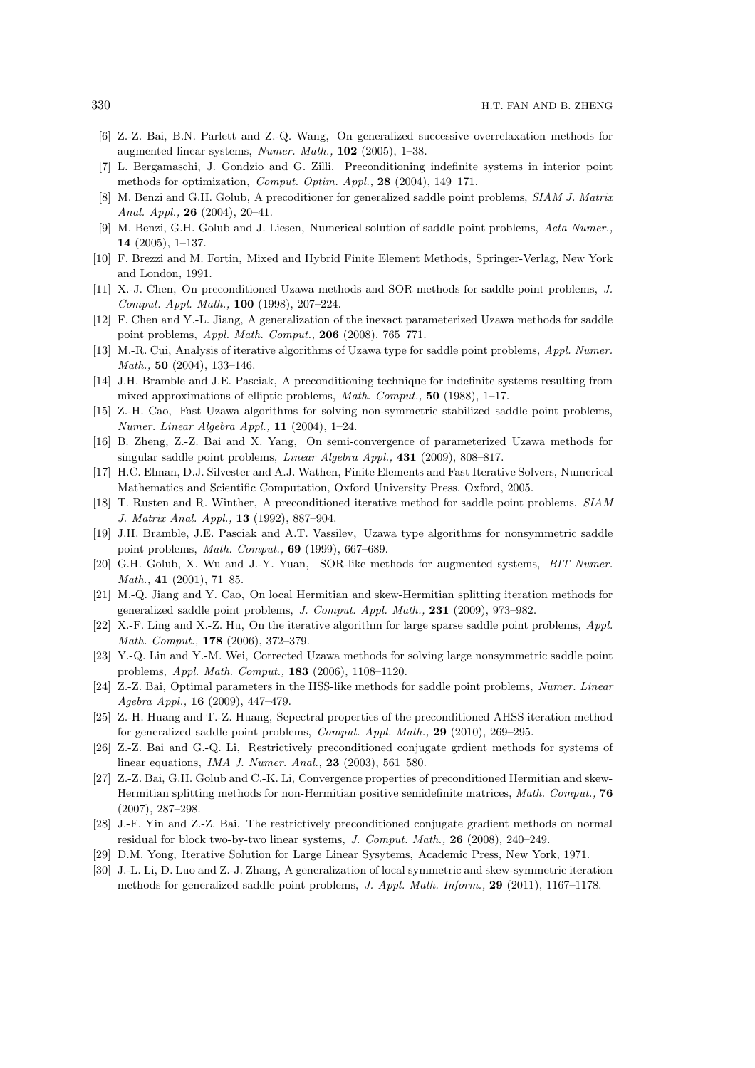- [6] Z.-Z. Bai, B.N. Parlett and Z.-Q. Wang, On generalized successive overrelaxation methods for augmented linear systems, *Numer. Math.,* 102 (2005), 1–38.
- [7] L. Bergamaschi, J. Gondzio and G. Zilli, Preconditioning indefinite systems in interior point methods for optimization, *Comput. Optim. Appl.,* 28 (2004), 149–171.
- [8] M. Benzi and G.H. Golub, A precoditioner for generalized saddle point problems, *SIAM J. Matrix Anal. Appl.,* 26 (2004), 20–41.
- [9] M. Benzi, G.H. Golub and J. Liesen, Numerical solution of saddle point problems, *Acta Numer.,* 14 (2005), 1–137.
- [10] F. Brezzi and M. Fortin, Mixed and Hybrid Finite Element Methods, Springer-Verlag, New York and London, 1991.
- [11] X.-J. Chen, On preconditioned Uzawa methods and SOR methods for saddle-point problems, *J. Comput. Appl. Math.,* 100 (1998), 207–224.
- [12] F. Chen and Y.-L. Jiang, A generalization of the inexact parameterized Uzawa methods for saddle point problems, *Appl. Math. Comput.,* 206 (2008), 765–771.
- [13] M.-R. Cui, Analysis of iterative algorithms of Uzawa type for saddle point problems, *Appl. Numer. Math.,* 50 (2004), 133–146.
- [14] J.H. Bramble and J.E. Pasciak, A preconditioning technique for indefinite systems resulting from mixed approximations of elliptic problems, *Math. Comput.,* 50 (1988), 1–17.
- [15] Z.-H. Cao, Fast Uzawa algorithms for solving non-symmetric stabilized saddle point problems, *Numer. Linear Algebra Appl.,* 11 (2004), 1–24.
- [16] B. Zheng, Z.-Z. Bai and X. Yang, On semi-convergence of parameterized Uzawa methods for singular saddle point problems, *Linear Algebra Appl.,* 431 (2009), 808–817.
- [17] H.C. Elman, D.J. Silvester and A.J. Wathen, Finite Elements and Fast Iterative Solvers, Numerical Mathematics and Scientific Computation, Oxford University Press, Oxford, 2005.
- [18] T. Rusten and R. Winther, A preconditioned iterative method for saddle point problems, *SIAM J. Matrix Anal. Appl.,* 13 (1992), 887–904.
- [19] J.H. Bramble, J.E. Pasciak and A.T. Vassilev, Uzawa type algorithms for nonsymmetric saddle point problems, *Math. Comput.,* 69 (1999), 667–689.
- [20] G.H. Golub, X. Wu and J.-Y. Yuan, SOR-like methods for augmented systems, *BIT Numer. Math.,* 41 (2001), 71–85.
- [21] M.-Q. Jiang and Y. Cao, On local Hermitian and skew-Hermitian splitting iteration methods for generalized saddle point problems, *J. Comput. Appl. Math.,* 231 (2009), 973–982.
- [22] X.-F. Ling and X.-Z. Hu, On the iterative algorithm for large sparse saddle point problems, *Appl. Math. Comput.,* 178 (2006), 372–379.
- [23] Y.-Q. Lin and Y.-M. Wei, Corrected Uzawa methods for solving large nonsymmetric saddle point problems, *Appl. Math. Comput.,* 183 (2006), 1108–1120.
- [24] Z.-Z. Bai, Optimal parameters in the HSS-like methods for saddle point problems, *Numer. Linear Agebra Appl.,* 16 (2009), 447–479.
- [25] Z.-H. Huang and T.-Z. Huang, Sepectral properties of the preconditioned AHSS iteration method for generalized saddle point problems, *Comput. Appl. Math.,* 29 (2010), 269–295.
- [26] Z.-Z. Bai and G.-Q. Li, Restrictively preconditioned conjugate grdient methods for systems of linear equations, *IMA J. Numer. Anal.,* 23 (2003), 561–580.
- [27] Z.-Z. Bai, G.H. Golub and C.-K. Li, Convergence properties of preconditioned Hermitian and skew-Hermitian splitting methods for non-Hermitian positive semidefinite matrices, *Math. Comput.,* 76 (2007), 287–298.
- [28] J.-F. Yin and Z.-Z. Bai, The restrictively preconditioned conjugate gradient methods on normal residual for block two-by-two linear systems, *J. Comput. Math.,* 26 (2008), 240–249.
- [29] D.M. Yong, Iterative Solution for Large Linear Sysytems, Academic Press, New York, 1971.
- [30] J.-L. Li, D. Luo and Z.-J. Zhang, A generalization of local symmetric and skew-symmetric iteration methods for generalized saddle point problems, *J. Appl. Math. Inform.,* 29 (2011), 1167–1178.